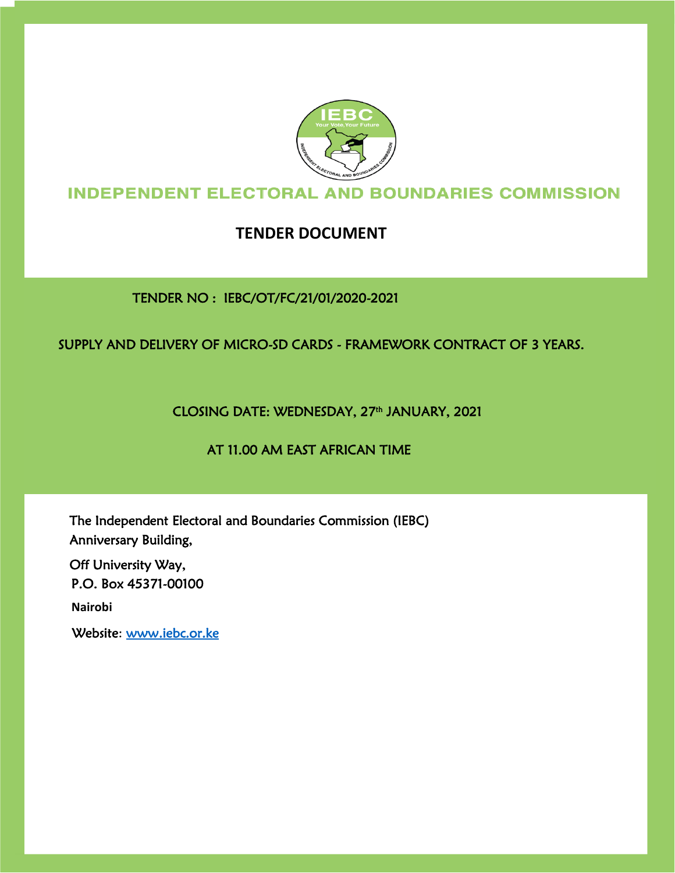

# **INDEPENDENT ELECTORAL AND BOUNDARIES COMMISSION**

# **TENDER DOCUMENT**

TENDER NO : IEBC/OT/FC/21/01/2020-2021

# SUPPLY AND DELIVERY OF MICRO-SD CARDS - FRAMEWORK CONTRACT OF 3 YEARS.

CLOSING DATE: WEDNESDAY, 27th JANUARY, 2021

# AT 11.00 AM EAST AFRICAN TIME

The Independent Electoral and Boundaries Commission (IEBC) Anniversary Building,

P.O. Box 45371-00100 Off University Way,

**Nairobi**

Website: [www.iebc.or.ke](http://www.iebc.or.ke/)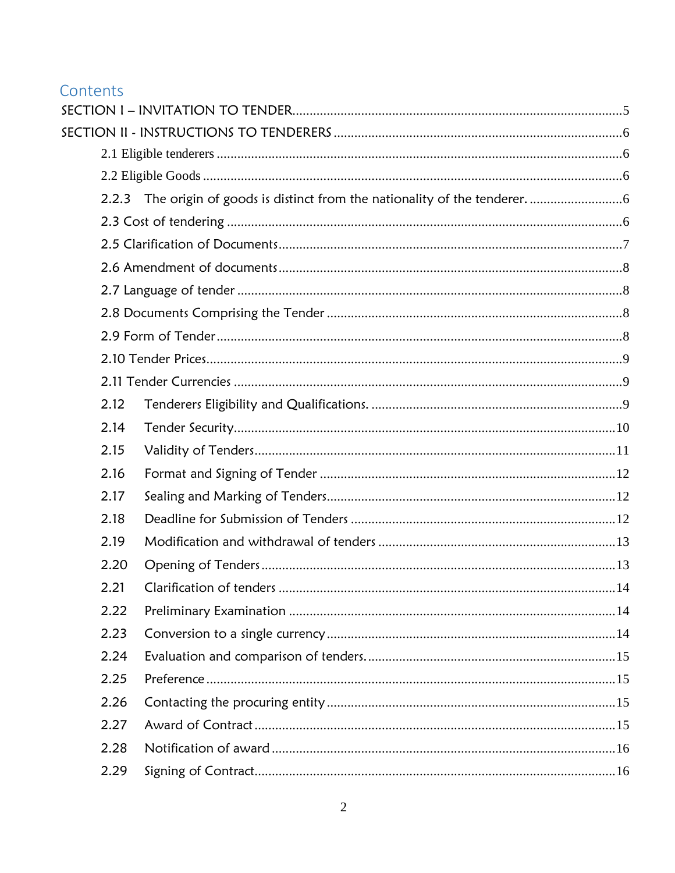# Contents

| 2.12 |  |
|------|--|
| 2.14 |  |
| 2.15 |  |
| 2.16 |  |
| 2.17 |  |
| 2.18 |  |
| 2.19 |  |
| 2.20 |  |
| 2.21 |  |
| 2.22 |  |
| 2.23 |  |
| 2.24 |  |
| 2.25 |  |
| 2.26 |  |
| 2.27 |  |
| 2.28 |  |
| 2.29 |  |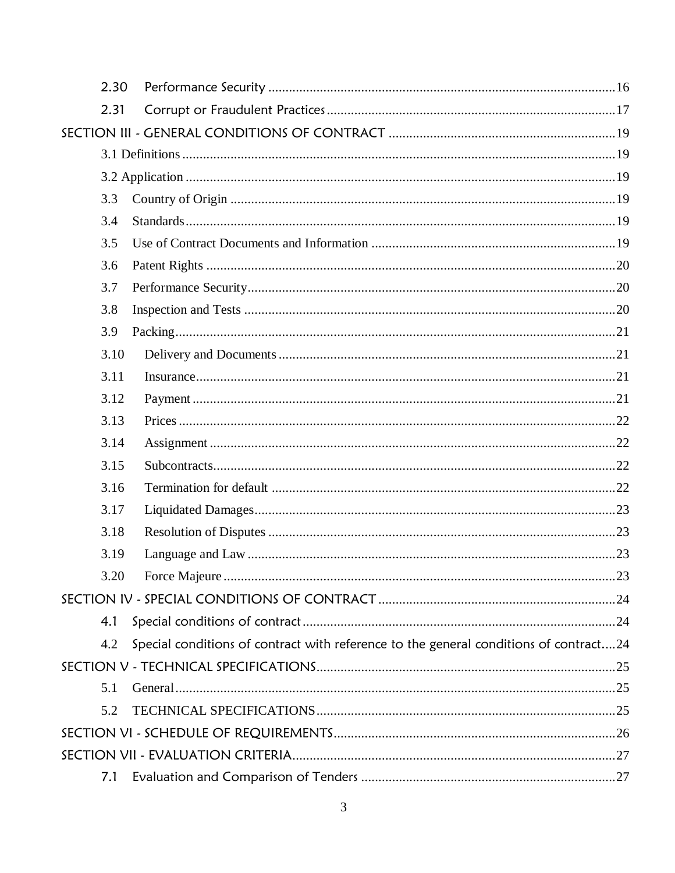| 2.30 |                                                                                       |  |
|------|---------------------------------------------------------------------------------------|--|
| 2.31 |                                                                                       |  |
|      |                                                                                       |  |
|      |                                                                                       |  |
|      |                                                                                       |  |
| 3.3  |                                                                                       |  |
| 3.4  |                                                                                       |  |
| 3.5  |                                                                                       |  |
| 3.6  |                                                                                       |  |
| 3.7  |                                                                                       |  |
| 3.8  |                                                                                       |  |
| 3.9  |                                                                                       |  |
| 3.10 |                                                                                       |  |
| 3.11 |                                                                                       |  |
| 3.12 |                                                                                       |  |
| 3.13 |                                                                                       |  |
| 3.14 |                                                                                       |  |
| 3.15 |                                                                                       |  |
| 3.16 |                                                                                       |  |
| 3.17 |                                                                                       |  |
| 3.18 |                                                                                       |  |
| 3.19 |                                                                                       |  |
| 3.20 |                                                                                       |  |
|      |                                                                                       |  |
| 4.1  |                                                                                       |  |
| 4.2  | Special conditions of contract with reference to the general conditions of contract24 |  |
|      |                                                                                       |  |
| 5.1  |                                                                                       |  |
| 5.2  |                                                                                       |  |
|      |                                                                                       |  |
|      |                                                                                       |  |
| 7.1  |                                                                                       |  |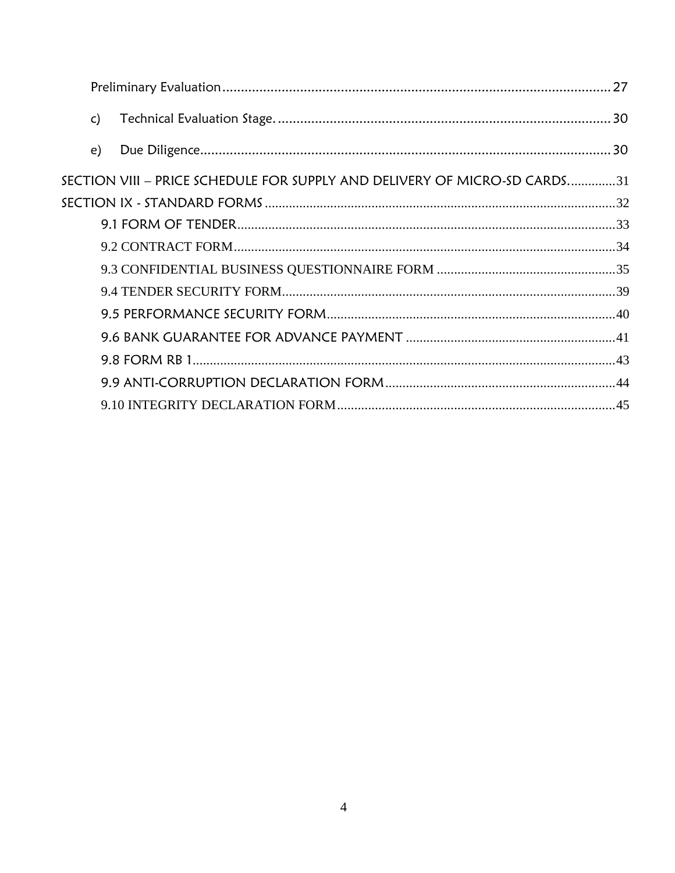| $\mathsf{c}$ |                                                                           |  |
|--------------|---------------------------------------------------------------------------|--|
| $\epsilon$ ) |                                                                           |  |
|              | SECTION VIII - PRICE SCHEDULE FOR SUPPLY AND DELIVERY OF MICRO-SD CARDS31 |  |
|              |                                                                           |  |
|              |                                                                           |  |
|              |                                                                           |  |
|              |                                                                           |  |
|              |                                                                           |  |
|              |                                                                           |  |
|              |                                                                           |  |
|              |                                                                           |  |
|              |                                                                           |  |
|              |                                                                           |  |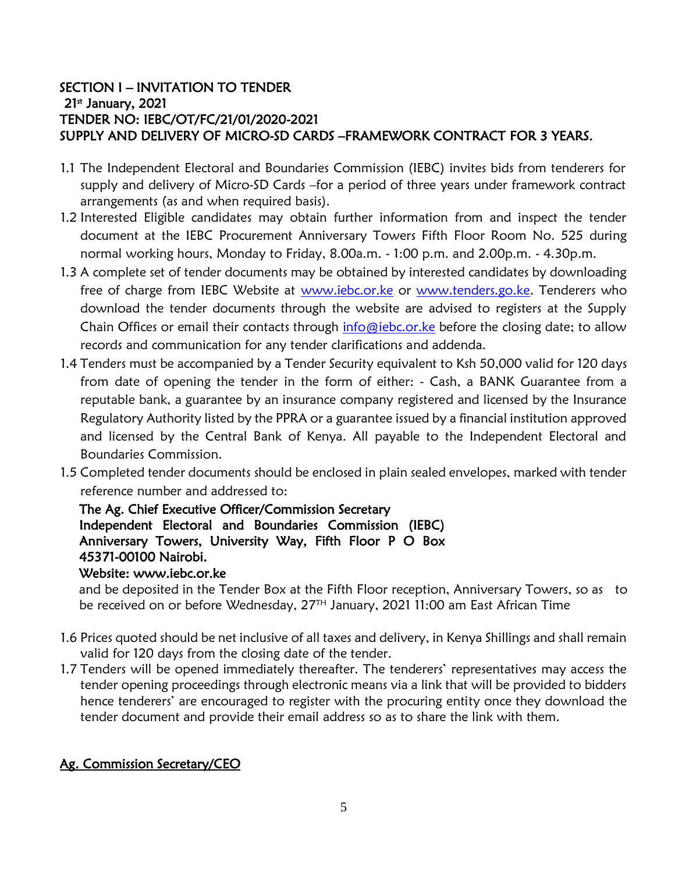### <span id="page-4-0"></span>SECTION I – INVITATION TO TENDER 21<sup>st</sup> January, 2021 TENDER NO: IEBC/OT/FC/21/01/2020-2021 SUPPLY AND DELIVERY OF MICRO-SD CARDS –FRAMEWORK CONTRACT FOR 3 YEARS.

- 1.1 The Independent Electoral and Boundaries Commission (IEBC) invites bids from tenderers for supply and delivery of Micro-SD Cards –for a period of three years under framework contract arrangements (as and when required basis).
- 1.2 Interested Eligible candidates may obtain further information from and inspect the tender document at the IEBC Procurement Anniversary Towers Fifth Floor Room No. 525 during normal working hours, Monday to Friday, 8.00a.m. - 1:00 p.m. and 2.00p.m. - 4.30p.m.
- 1.3 A complete set of tender documents may be obtained by interested candidates by downloading free of charge from IEBC Website at [www.iebc.or.ke](http://www.iebc.or.ke/) [o](http://www.iebc.or.ke/)r [www.tenders.go.ke.](http://www.tenders.go.ke/) Tenderers who download the tender documents through the website are advised to registers at the Supply Chain Offices or email their contacts through info@iebc.or.ke before the closing date; to allow records and communication for any tender clarifications and addenda.
- 1.4 Tenders must be accompanied by a Tender Security equivalent to Ksh 50,000 valid for 120 days from date of opening the tender in the form of either: - Cash, a BANK Guarantee from a reputable bank, a guarantee by an insurance company registered and licensed by the Insurance Regulatory Authority listed by the PPRA or a guarantee issued by a financial institution approved and licensed by the Central Bank of Kenya. All payable to the Independent Electoral and Boundaries Commission.
- 1.5 Completed tender documents should be enclosed in plain sealed envelopes, marked with tender reference number and addressed to:

# The Ag. Chief Executive Officer/Commission Secretary Independent Electoral and Boundaries Commission (IEBC) Anniversary Towers, University Way, Fifth Floor P O Box 45371-00100 Nairobi.

#### Website: www.iebc.or.ke

 and be deposited in the Tender Box at the Fifth Floor reception, Anniversary Towers, so as to be received on or before Wednesday, 27<sup>TH</sup> January, 2021 11:00 am East African Time

- 1.6 Prices quoted should be net inclusive of all taxes and delivery, in Kenya Shillings and shall remain valid for 120 days from the closing date of the tender.
- 1.7 Tenders will be opened immediately thereafter. The tenderers' representatives may access the tender opening proceedings through electronic means via a link that will be provided to bidders hence tenderers' are encouraged to register with the procuring entity once they download the tender document and provide their email address so as to share the link with them.

# Ag. Commission Secretary/CEO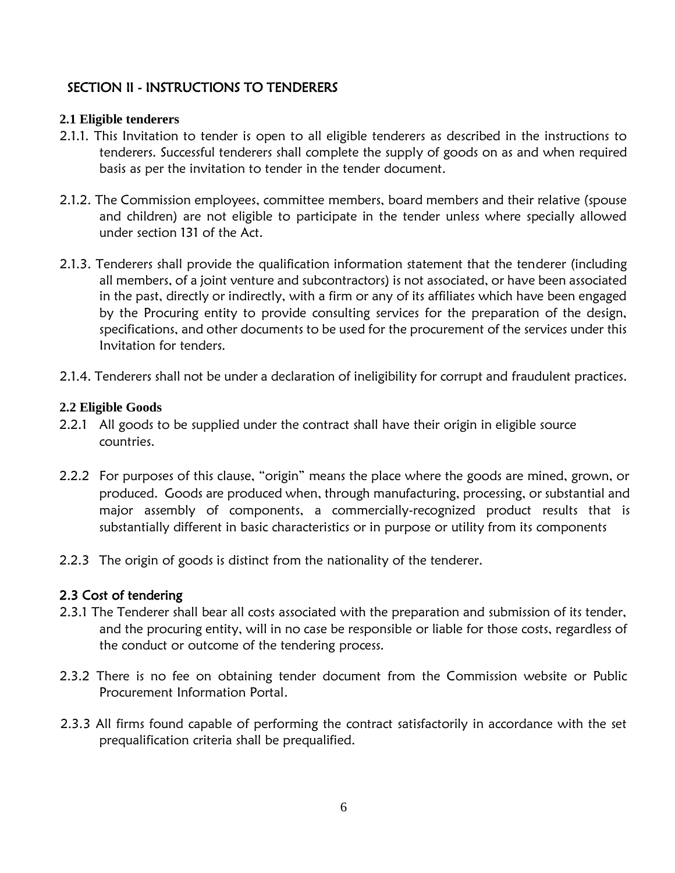# <span id="page-5-0"></span>SECTION II - INSTRUCTIONS TO TENDERERS

### <span id="page-5-1"></span>**2.1 Eligible tenderers**

- 2.1.1. This Invitation to tender is open to all eligible tenderers as described in the instructions to tenderers. Successful tenderers shall complete the supply of goods on as and when required basis as per the invitation to tender in the tender document.
- 2.1.2. The Commission employees, committee members, board members and their relative (spouse and children) are not eligible to participate in the tender unless where specially allowed under section 131 of the Act.
- 2.1.3. Tenderers shall provide the qualification information statement that the tenderer (including all members, of a joint venture and subcontractors) is not associated, or have been associated in the past, directly or indirectly, with a firm or any of its affiliates which have been engaged by the Procuring entity to provide consulting services for the preparation of the design, specifications, and other documents to be used for the procurement of the services under this Invitation for tenders.
- 2.1.4. Tenderers shall not be under a declaration of ineligibility for corrupt and fraudulent practices.

### <span id="page-5-2"></span>**2.2 Eligible Goods**

- 2.2.1 All goods to be supplied under the contract shall have their origin in eligible source countries.
- 2.2.2 For purposes of this clause, "origin" means the place where the goods are mined, grown, or produced. Goods are produced when, through manufacturing, processing, or substantial and major assembly of components, a commercially-recognized product results that is substantially different in basic characteristics or in purpose or utility from its components
- <span id="page-5-3"></span>2.2.3 The origin of goods is distinct from the nationality of the tenderer.

## <span id="page-5-4"></span>2.3 Cost of tendering

- 2.3.1 The Tenderer shall bear all costs associated with the preparation and submission of its tender, and the procuring entity, will in no case be responsible or liable for those costs, regardless of the conduct or outcome of the tendering process.
- 2.3.2 There is no fee on obtaining tender document from the Commission website or Public Procurement Information Portal.
- 2.3.3 All firms found capable of performing the contract satisfactorily in accordance with the set prequalification criteria shall be prequalified.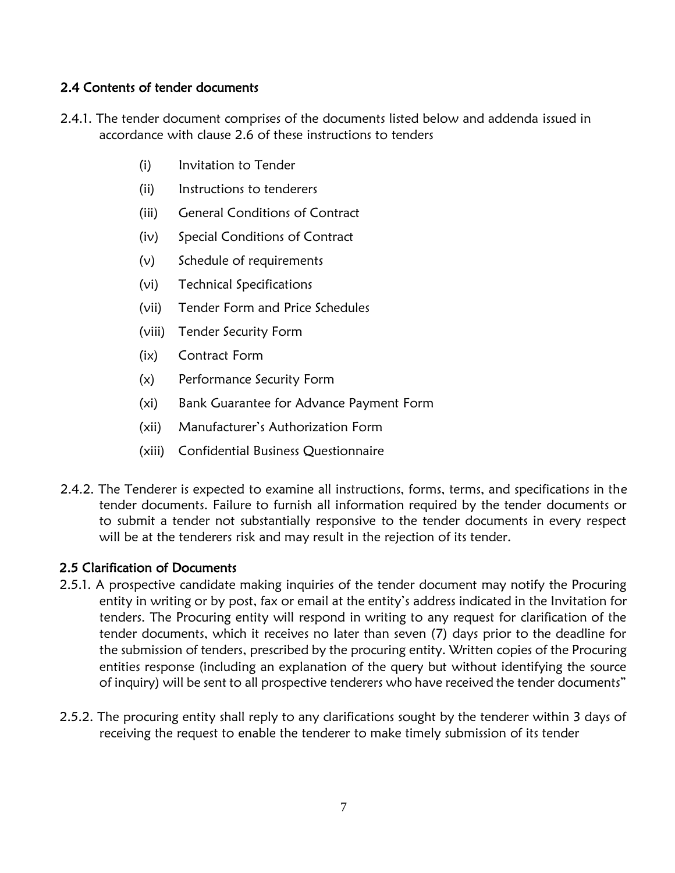### 2.4 Contents of tender documents

- 2.4.1. The tender document comprises of the documents listed below and addenda issued in accordance with clause 2.6 of these instructions to tenders
	- (i) Invitation to Tender
	- (ii) Instructions to tenderers
	- (iii) General Conditions of Contract
	- (iv) Special Conditions of Contract
	- (v) Schedule of requirements
	- (vi) Technical Specifications
	- (vii) Tender Form and Price Schedules
	- (viii) Tender Security Form
	- (ix) Contract Form
	- (x) Performance Security Form
	- (xi) Bank Guarantee for Advance Payment Form
	- (xii) Manufacturer's Authorization Form
	- (xiii) Confidential Business Questionnaire
- 2.4.2. The Tenderer is expected to examine all instructions, forms, terms, and specifications in the tender documents. Failure to furnish all information required by the tender documents or to submit a tender not substantially responsive to the tender documents in every respect will be at the tenderers risk and may result in the rejection of its tender.

#### <span id="page-6-0"></span>2.5 Clarification of Documents

- 2.5.1. A prospective candidate making inquiries of the tender document may notify the Procuring entity in writing or by post, fax or email at the entity's address indicated in the Invitation for tenders. The Procuring entity will respond in writing to any request for clarification of the tender documents, which it receives no later than seven (7) days prior to the deadline for the submission of tenders, prescribed by the procuring entity. Written copies of the Procuring entities response (including an explanation of the query but without identifying the source of inquiry) will be sent to all prospective tenderers who have received the tender documents"
- 2.5.2. The procuring entity shall reply to any clarifications sought by the tenderer within 3 days of receiving the request to enable the tenderer to make timely submission of its tender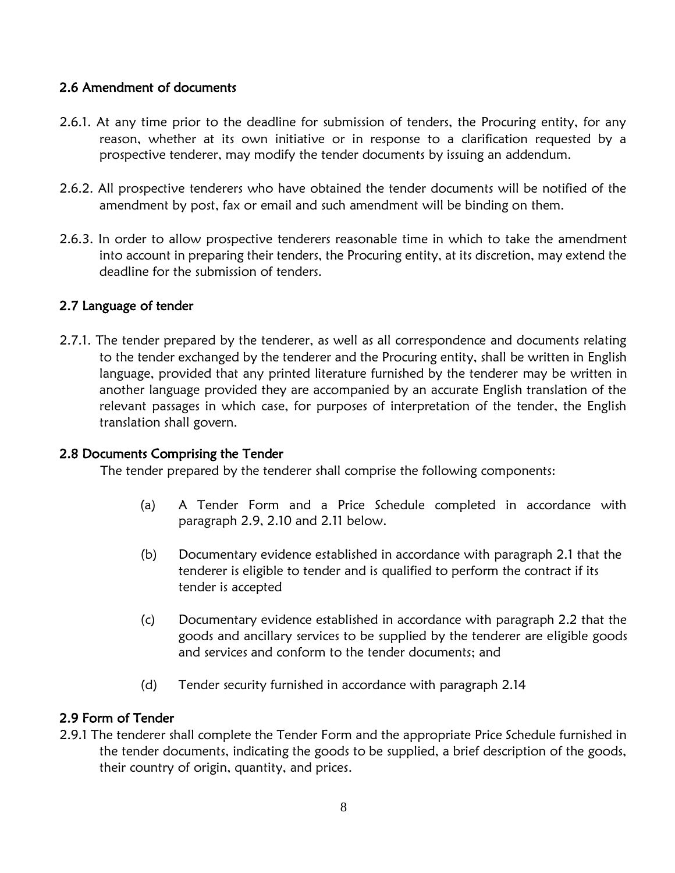### <span id="page-7-0"></span>2.6 Amendment of documents

- 2.6.1. At any time prior to the deadline for submission of tenders, the Procuring entity, for any reason, whether at its own initiative or in response to a clarification requested by a prospective tenderer, may modify the tender documents by issuing an addendum.
- 2.6.2. All prospective tenderers who have obtained the tender documents will be notified of the amendment by post, fax or email and such amendment will be binding on them.
- 2.6.3. In order to allow prospective tenderers reasonable time in which to take the amendment into account in preparing their tenders, the Procuring entity, at its discretion, may extend the deadline for the submission of tenders.

### <span id="page-7-1"></span>2.7 Language of tender

2.7.1. The tender prepared by the tenderer, as well as all correspondence and documents relating to the tender exchanged by the tenderer and the Procuring entity, shall be written in English language, provided that any printed literature furnished by the tenderer may be written in another language provided they are accompanied by an accurate English translation of the relevant passages in which case, for purposes of interpretation of the tender, the English translation shall govern.

#### <span id="page-7-2"></span>2.8 Documents Comprising the Tender

The tender prepared by the tenderer shall comprise the following components:

- (a) A Tender Form and a Price Schedule completed in accordance with paragraph 2.9, 2.10 and 2.11 below.
- (b) Documentary evidence established in accordance with paragraph 2.1 that the tenderer is eligible to tender and is qualified to perform the contract if its tender is accepted
- (c) Documentary evidence established in accordance with paragraph 2.2 that the goods and ancillary services to be supplied by the tenderer are eligible goods and services and conform to the tender documents; and
- (d) Tender security furnished in accordance with paragraph 2.14

## <span id="page-7-3"></span>2.9 Form of Tender

2.9.1 The tenderer shall complete the Tender Form and the appropriate Price Schedule furnished in the tender documents, indicating the goods to be supplied, a brief description of the goods, their country of origin, quantity, and prices.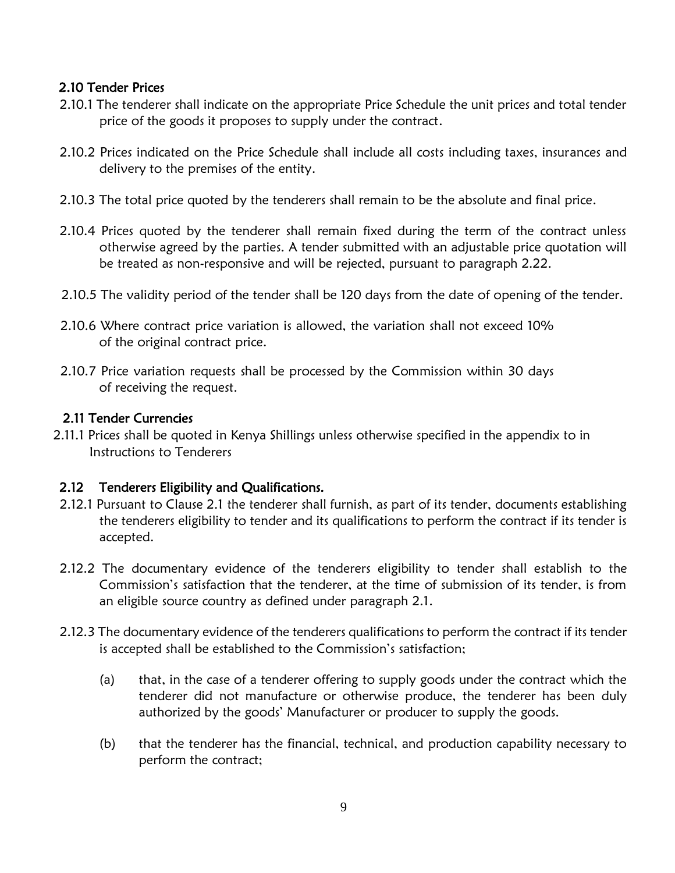### <span id="page-8-0"></span>2.10 Tender Prices

- 2.10.1 The tenderer shall indicate on the appropriate Price Schedule the unit prices and total tender price of the goods it proposes to supply under the contract.
- 2.10.2 Prices indicated on the Price Schedule shall include all costs including taxes, insurances and delivery to the premises of the entity.
- 2.10.3 The total price quoted by the tenderers shall remain to be the absolute and final price.
- 2.10.4 Prices quoted by the tenderer shall remain fixed during the term of the contract unless otherwise agreed by the parties. A tender submitted with an adjustable price quotation will be treated as non-responsive and will be rejected, pursuant to paragraph 2.22.
- 2.10.5 The validity period of the tender shall be 120 days from the date of opening of the tender.
- 2.10.6 Where contract price variation is allowed, the variation shall not exceed 10% of the original contract price.
- 2.10.7 Price variation requests shall be processed by the Commission within 30 days of receiving the request.

#### <span id="page-8-1"></span>2.11 Tender Currencies

2.11.1 Prices shall be quoted in Kenya Shillings unless otherwise specified in the appendix to in Instructions to Tenderers

## <span id="page-8-2"></span>2.12 Tenderers Eligibility and Qualifications.

- 2.12.1 Pursuant to Clause 2.1 the tenderer shall furnish, as part of its tender, documents establishing the tenderers eligibility to tender and its qualifications to perform the contract if its tender is accepted.
- 2.12.2 The documentary evidence of the tenderers eligibility to tender shall establish to the Commission's satisfaction that the tenderer, at the time of submission of its tender, is from an eligible source country as defined under paragraph 2.1.
- 2.12.3 The documentary evidence of the tenderers qualifications to perform the contract if its tender is accepted shall be established to the Commission's satisfaction;
	- (a) that, in the case of a tenderer offering to supply goods under the contract which the tenderer did not manufacture or otherwise produce, the tenderer has been duly authorized by the goods' Manufacturer or producer to supply the goods.
	- (b) that the tenderer has the financial, technical, and production capability necessary to perform the contract;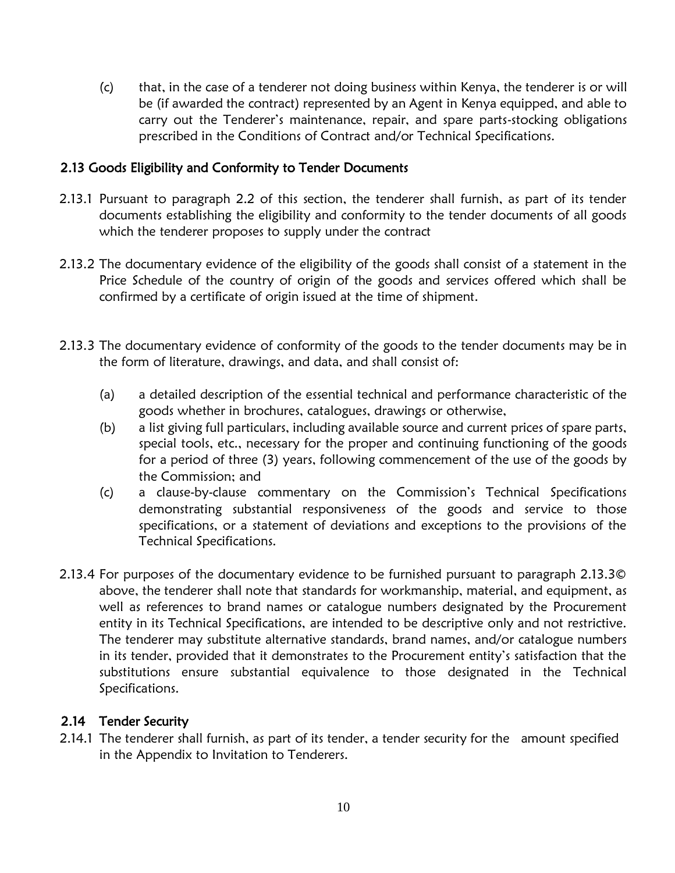(c) that, in the case of a tenderer not doing business within Kenya, the tenderer is or will be (if awarded the contract) represented by an Agent in Kenya equipped, and able to carry out the Tenderer's maintenance, repair, and spare parts-stocking obligations prescribed in the Conditions of Contract and/or Technical Specifications.

### 2.13 Goods Eligibility and Conformity to Tender Documents

- 2.13.1 Pursuant to paragraph 2.2 of this section, the tenderer shall furnish, as part of its tender documents establishing the eligibility and conformity to the tender documents of all goods which the tenderer proposes to supply under the contract
- 2.13.2 The documentary evidence of the eligibility of the goods shall consist of a statement in the Price Schedule of the country of origin of the goods and services offered which shall be confirmed by a certificate of origin issued at the time of shipment.
- 2.13.3 The documentary evidence of conformity of the goods to the tender documents may be in the form of literature, drawings, and data, and shall consist of:
	- (a) a detailed description of the essential technical and performance characteristic of the goods whether in brochures, catalogues, drawings or otherwise,
	- (b) a list giving full particulars, including available source and current prices of spare parts, special tools, etc., necessary for the proper and continuing functioning of the goods for a period of three (3) years, following commencement of the use of the goods by the Commission; and
	- (c) a clause-by-clause commentary on the Commission's Technical Specifications demonstrating substantial responsiveness of the goods and service to those specifications, or a statement of deviations and exceptions to the provisions of the Technical Specifications.
- 2.13.4 For purposes of the documentary evidence to be furnished pursuant to paragraph 2.13.3© above, the tenderer shall note that standards for workmanship, material, and equipment, as well as references to brand names or catalogue numbers designated by the Procurement entity in its Technical Specifications, are intended to be descriptive only and not restrictive. The tenderer may substitute alternative standards, brand names, and/or catalogue numbers in its tender, provided that it demonstrates to the Procurement entity's satisfaction that the substitutions ensure substantial equivalence to those designated in the Technical Specifications.

## <span id="page-9-0"></span>2.14 Tender Security

2.14.1 The tenderer shall furnish, as part of its tender, a tender security for the amount specified in the Appendix to Invitation to Tenderers.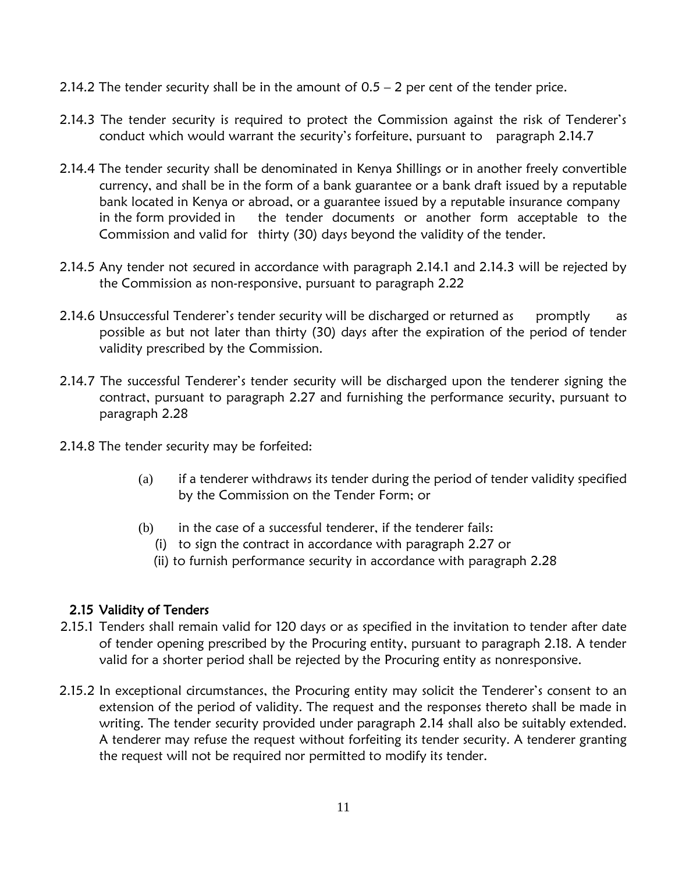- 2.14.2 The tender security shall be in the amount of  $0.5 2$  per cent of the tender price.
- 2.14.3 The tender security is required to protect the Commission against the risk of Tenderer's conduct which would warrant the security's forfeiture, pursuant to paragraph 2.14.7
- 2.14.4 The tender security shall be denominated in Kenya Shillings or in another freely convertible currency, and shall be in the form of a bank guarantee or a bank draft issued by a reputable bank located in Kenya or abroad, or a guarantee issued by a reputable insurance company in the form provided in the tender documents or another form acceptable to the Commission and valid for thirty (30) days beyond the validity of the tender.
- 2.14.5 Any tender not secured in accordance with paragraph 2.14.1 and 2.14.3 will be rejected by the Commission as non-responsive, pursuant to paragraph 2.22
- 2.14.6 Unsuccessful Tenderer's tender security will be discharged or returned as promptly as possible as but not later than thirty (30) days after the expiration of the period of tender validity prescribed by the Commission.
- 2.14.7 The successful Tenderer's tender security will be discharged upon the tenderer signing the contract, pursuant to paragraph 2.27 and furnishing the performance security, pursuant to paragraph 2.28
- 2.14.8 The tender security may be forfeited:
	- (a) if a tenderer withdraws its tender during the period of tender validity specified by the Commission on the Tender Form; or
	- (b) in the case of a successful tenderer, if the tenderer fails:
		- (i) to sign the contract in accordance with paragraph 2.27 or
		- (ii) to furnish performance security in accordance with paragraph 2.28

## <span id="page-10-0"></span>2.15 Validity of Tenders

- 2.15.1 Tenders shall remain valid for 120 days or as specified in the invitation to tender after date of tender opening prescribed by the Procuring entity, pursuant to paragraph 2.18. A tender valid for a shorter period shall be rejected by the Procuring entity as nonresponsive.
- 2.15.2 In exceptional circumstances, the Procuring entity may solicit the Tenderer's consent to an extension of the period of validity. The request and the responses thereto shall be made in writing. The tender security provided under paragraph 2.14 shall also be suitably extended. A tenderer may refuse the request without forfeiting its tender security. A tenderer granting the request will not be required nor permitted to modify its tender.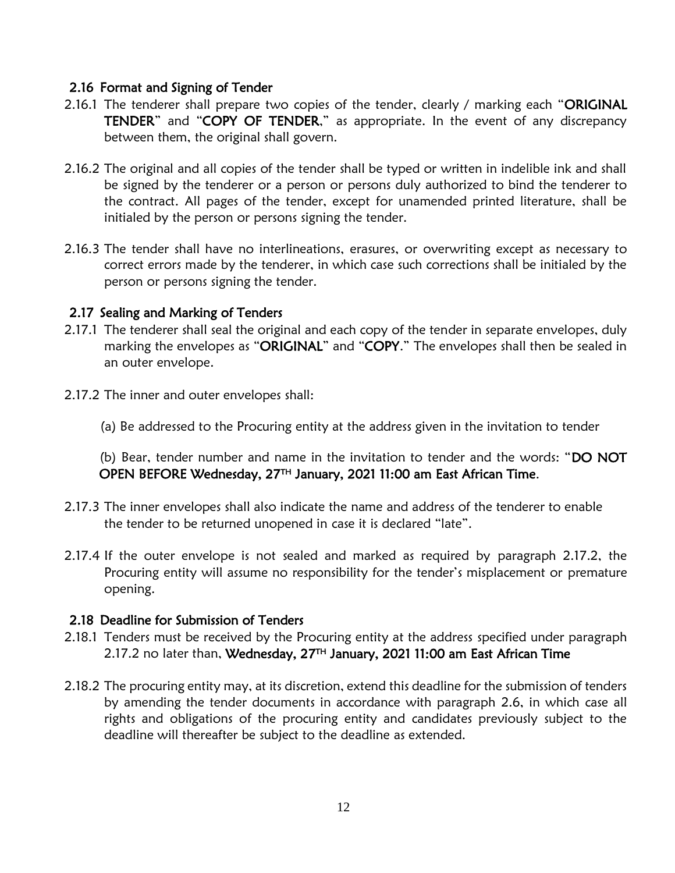#### <span id="page-11-0"></span>2.16 Format and Signing of Tender

- 2.16.1 The tenderer shall prepare two copies of the tender, clearly / marking each "ORIGINAL TENDER" and "COPY OF TENDER," as appropriate. In the event of any discrepancy between them, the original shall govern.
- 2.16.2 The original and all copies of the tender shall be typed or written in indelible ink and shall be signed by the tenderer or a person or persons duly authorized to bind the tenderer to the contract. All pages of the tender, except for unamended printed literature, shall be initialed by the person or persons signing the tender.
- 2.16.3 The tender shall have no interlineations, erasures, or overwriting except as necessary to correct errors made by the tenderer, in which case such corrections shall be initialed by the person or persons signing the tender.

### <span id="page-11-1"></span>2.17 Sealing and Marking of Tenders

- 2.17.1 The tenderer shall seal the original and each copy of the tender in separate envelopes, duly marking the envelopes as "ORIGINAL" and "COPY." The envelopes shall then be sealed in an outer envelope.
- 2.17.2 The inner and outer envelopes shall:
	- (a) Be addressed to the Procuring entity at the address given in the invitation to tender

 (b) Bear, tender number and name in the invitation to tender and the words: "DO NOT OPEN BEFORE Wednesday, 27TH January, 2021 11:00 am East African Time.

- 2.17.3 The inner envelopes shall also indicate the name and address of the tenderer to enable the tender to be returned unopened in case it is declared "late".
- 2.17.4 If the outer envelope is not sealed and marked as required by paragraph 2.17.2, the Procuring entity will assume no responsibility for the tender's misplacement or premature opening.

### <span id="page-11-2"></span>2.18 Deadline for Submission of Tenders

- 2.18.1 Tenders must be received by the Procuring entity at the address specified under paragraph 2.17.2 no later than, Wednesday, 27<sup>TH</sup> January, 2021 11:00 am East African Time
- 2.18.2 The procuring entity may, at its discretion, extend this deadline for the submission of tenders by amending the tender documents in accordance with paragraph 2.6, in which case all rights and obligations of the procuring entity and candidates previously subject to the deadline will thereafter be subject to the deadline as extended.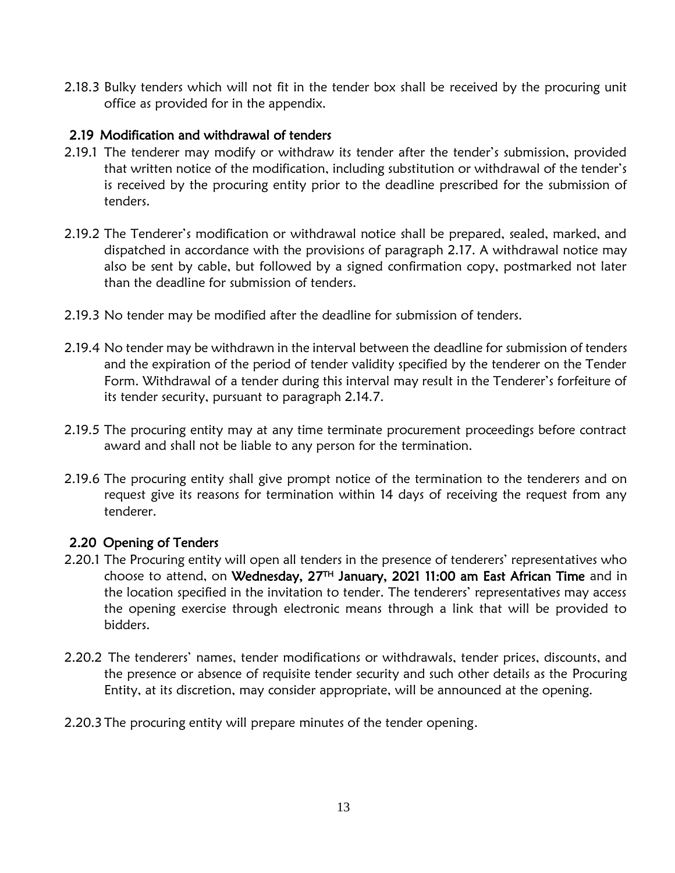2.18.3 Bulky tenders which will not fit in the tender box shall be received by the procuring unit office as provided for in the appendix.

## <span id="page-12-0"></span>2.19 Modification and withdrawal of tenders

- 2.19.1 The tenderer may modify or withdraw its tender after the tender's submission, provided that written notice of the modification, including substitution or withdrawal of the tender's is received by the procuring entity prior to the deadline prescribed for the submission of tenders.
- 2.19.2 The Tenderer's modification or withdrawal notice shall be prepared, sealed, marked, and dispatched in accordance with the provisions of paragraph 2.17. A withdrawal notice may also be sent by cable, but followed by a signed confirmation copy, postmarked not later than the deadline for submission of tenders.
- 2.19.3 No tender may be modified after the deadline for submission of tenders.
- 2.19.4 No tender may be withdrawn in the interval between the deadline for submission of tenders and the expiration of the period of tender validity specified by the tenderer on the Tender Form. Withdrawal of a tender during this interval may result in the Tenderer's forfeiture of its tender security, pursuant to paragraph 2.14.7.
- 2.19.5 The procuring entity may at any time terminate procurement proceedings before contract award and shall not be liable to any person for the termination.
- 2.19.6 The procuring entity shall give prompt notice of the termination to the tenderers and on request give its reasons for termination within 14 days of receiving the request from any tenderer.

#### <span id="page-12-1"></span>2.20 Opening of Tenders

- 2.20.1 The Procuring entity will open all tenders in the presence of tenderers' representatives who choose to attend, on Wednesday, 27<sup>TH</sup> January, 2021 11:00 am East African Time and in the location specified in the invitation to tender. The tenderers' representatives may access the opening exercise through electronic means through a link that will be provided to bidders.
- 2.20.2 The tenderers' names, tender modifications or withdrawals, tender prices, discounts, and the presence or absence of requisite tender security and such other details as the Procuring Entity, at its discretion, may consider appropriate, will be announced at the opening.
- 2.20.3 The procuring entity will prepare minutes of the tender opening.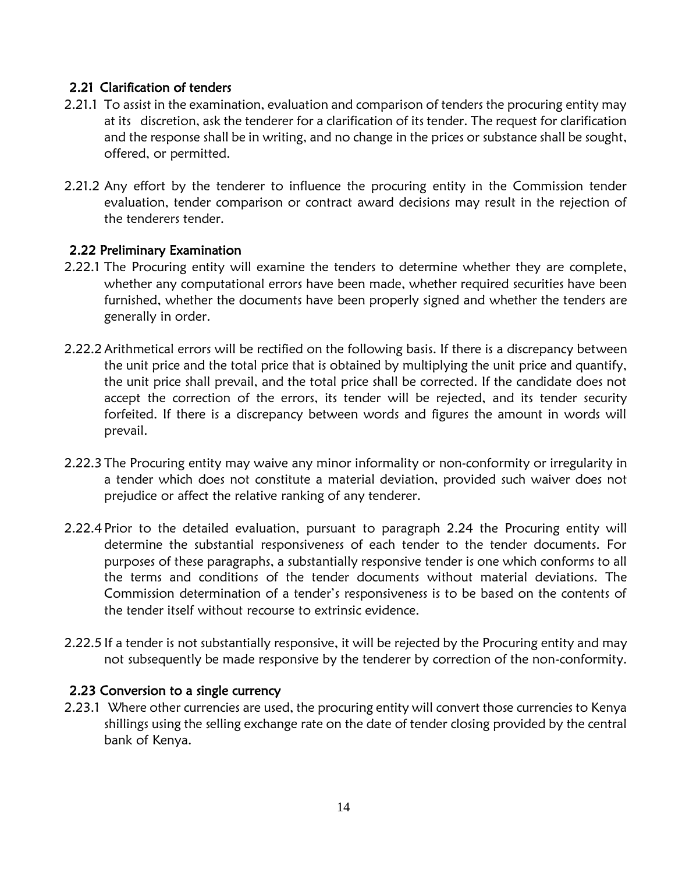## <span id="page-13-0"></span>2.21 Clarification of tenders

- 2.21.1 To assist in the examination, evaluation and comparison of tenders the procuring entity may at its discretion, ask the tenderer for a clarification of its tender. The request for clarification and the response shall be in writing, and no change in the prices or substance shall be sought, offered, or permitted.
- 2.21.2 Any effort by the tenderer to influence the procuring entity in the Commission tender evaluation, tender comparison or contract award decisions may result in the rejection of the tenderers tender.

## <span id="page-13-1"></span>2.22 Preliminary Examination

- 2.22.1 The Procuring entity will examine the tenders to determine whether they are complete, whether any computational errors have been made, whether required securities have been furnished, whether the documents have been properly signed and whether the tenders are generally in order.
- 2.22.2 Arithmetical errors will be rectified on the following basis. If there is a discrepancy between the unit price and the total price that is obtained by multiplying the unit price and quantify, the unit price shall prevail, and the total price shall be corrected. If the candidate does not accept the correction of the errors, its tender will be rejected, and its tender security forfeited. If there is a discrepancy between words and figures the amount in words will prevail.
- 2.22.3 The Procuring entity may waive any minor informality or non-conformity or irregularity in a tender which does not constitute a material deviation, provided such waiver does not prejudice or affect the relative ranking of any tenderer.
- 2.22.4 Prior to the detailed evaluation, pursuant to paragraph 2.24 the Procuring entity will determine the substantial responsiveness of each tender to the tender documents. For purposes of these paragraphs, a substantially responsive tender is one which conforms to all the terms and conditions of the tender documents without material deviations. The Commission determination of a tender's responsiveness is to be based on the contents of the tender itself without recourse to extrinsic evidence.
- 2.22.5 If a tender is not substantially responsive, it will be rejected by the Procuring entity and may not subsequently be made responsive by the tenderer by correction of the non-conformity.

## <span id="page-13-2"></span>2.23 Conversion to a single currency

2.23.1 Where other currencies are used, the procuring entity will convert those currencies to Kenya shillings using the selling exchange rate on the date of tender closing provided by the central bank of Kenya.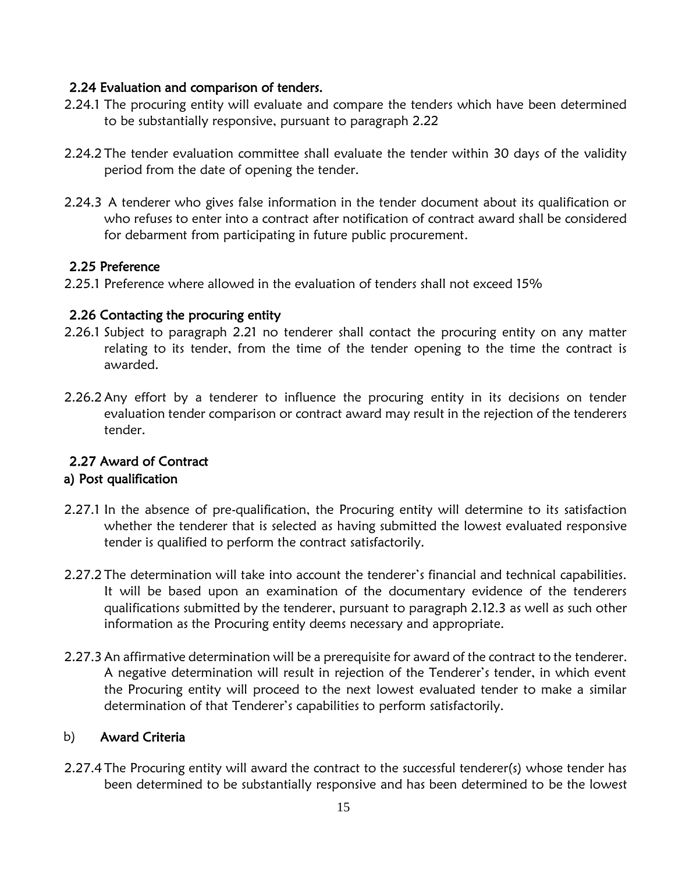## <span id="page-14-0"></span>2.24 Evaluation and comparison of tenders.

- 2.24.1 The procuring entity will evaluate and compare the tenders which have been determined to be substantially responsive, pursuant to paragraph 2.22
- 2.24.2 The tender evaluation committee shall evaluate the tender within 30 days of the validity period from the date of opening the tender.
- 2.24.3 A tenderer who gives false information in the tender document about its qualification or who refuses to enter into a contract after notification of contract award shall be considered for debarment from participating in future public procurement.

## <span id="page-14-1"></span>2.25 Preference

2.25.1 Preference where allowed in the evaluation of tenders shall not exceed 15%

## <span id="page-14-2"></span>2.26 Contacting the procuring entity

- 2.26.1 Subject to paragraph 2.21 no tenderer shall contact the procuring entity on any matter relating to its tender, from the time of the tender opening to the time the contract is awarded.
- 2.26.2 Any effort by a tenderer to influence the procuring entity in its decisions on tender evaluation tender comparison or contract award may result in the rejection of the tenderers tender.

### <span id="page-14-3"></span>2.27 Award of Contract a) Post qualification

- 2.27.1 In the absence of pre-qualification, the Procuring entity will determine to its satisfaction whether the tenderer that is selected as having submitted the lowest evaluated responsive tender is qualified to perform the contract satisfactorily.
- 2.27.2 The determination will take into account the tenderer's financial and technical capabilities. It will be based upon an examination of the documentary evidence of the tenderers qualifications submitted by the tenderer, pursuant to paragraph 2.12.3 as well as such other information as the Procuring entity deems necessary and appropriate.
- 2.27.3 An affirmative determination will be a prerequisite for award of the contract to the tenderer. A negative determination will result in rejection of the Tenderer's tender, in which event the Procuring entity will proceed to the next lowest evaluated tender to make a similar determination of that Tenderer's capabilities to perform satisfactorily.

## b) Award Criteria

2.27.4 The Procuring entity will award the contract to the successful tenderer(s) whose tender has been determined to be substantially responsive and has been determined to be the lowest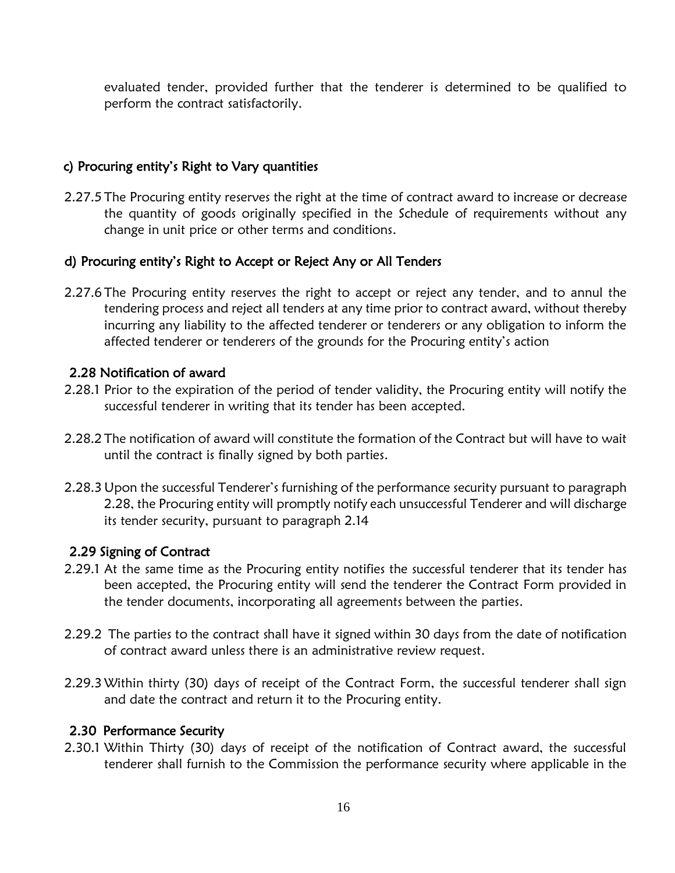evaluated tender, provided further that the tenderer is determined to be qualified to perform the contract satisfactorily.

### c) Procuring entity's Right to Vary quantities

2.27.5 The Procuring entity reserves the right at the time of contract award to increase or decrease the quantity of goods originally specified in the Schedule of requirements without any change in unit price or other terms and conditions.

#### d) Procuring entity's Right to Accept or Reject Any or All Tenders

2.27.6 The Procuring entity reserves the right to accept or reject any tender, and to annul the tendering process and reject all tenders at any time prior to contract award, without thereby incurring any liability to the affected tenderer or tenderers or any obligation to inform the affected tenderer or tenderers of the grounds for the Procuring entity's action

### <span id="page-15-0"></span>2.28 Notification of award

- 2.28.1 Prior to the expiration of the period of tender validity, the Procuring entity will notify the successful tenderer in writing that its tender has been accepted.
- 2.28.2 The notification of award will constitute the formation of the Contract but will have to wait until the contract is finally signed by both parties.
- 2.28.3 Upon the successful Tenderer's furnishing of the performance security pursuant to paragraph 2.28, the Procuring entity will promptly notify each unsuccessful Tenderer and will discharge its tender security, pursuant to paragraph 2.14

#### <span id="page-15-1"></span>2.29 Signing of Contract

- 2.29.1 At the same time as the Procuring entity notifies the successful tenderer that its tender has been accepted, the Procuring entity will send the tenderer the Contract Form provided in the tender documents, incorporating all agreements between the parties.
- 2.29.2 The parties to the contract shall have it signed within 30 days from the date of notification of contract award unless there is an administrative review request.
- 2.29.3 Within thirty (30) days of receipt of the Contract Form, the successful tenderer shall sign and date the contract and return it to the Procuring entity.

#### <span id="page-15-2"></span>2.30 Performance Security

2.30.1 Within Thirty (30) days of receipt of the notification of Contract award, the successful tenderer shall furnish to the Commission the performance security where applicable in the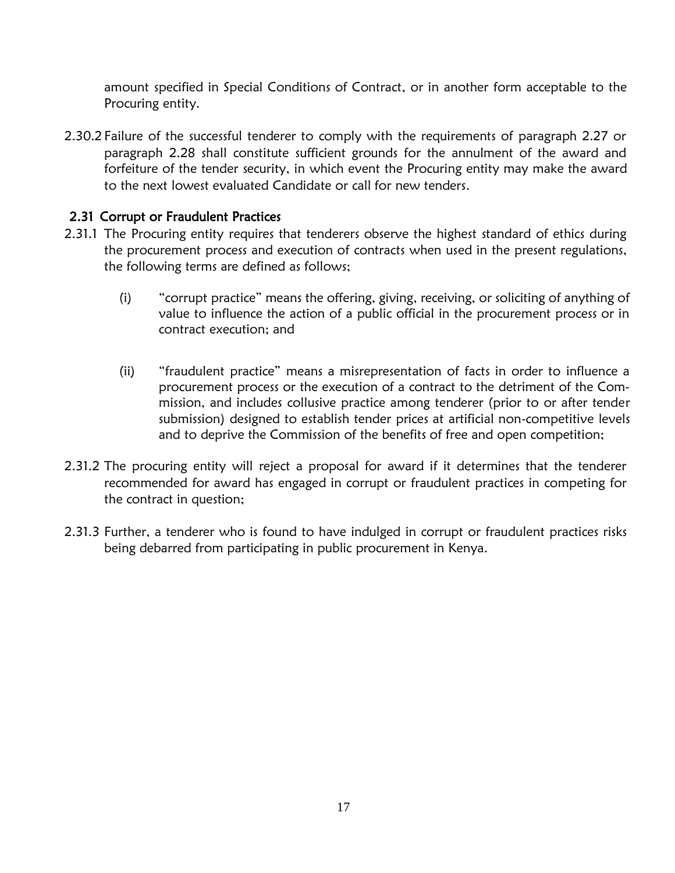amount specified in Special Conditions of Contract, or in another form acceptable to the Procuring entity.

2.30.2 Failure of the successful tenderer to comply with the requirements of paragraph 2.27 or paragraph 2.28 shall constitute sufficient grounds for the annulment of the award and forfeiture of the tender security, in which event the Procuring entity may make the award to the next lowest evaluated Candidate or call for new tenders.

## <span id="page-16-0"></span>2.31 Corrupt or Fraudulent Practices

- 2.31.1 The Procuring entity requires that tenderers observe the highest standard of ethics during the procurement process and execution of contracts when used in the present regulations, the following terms are defined as follows;
	- (i) "corrupt practice" means the offering, giving, receiving, or soliciting of anything of value to influence the action of a public official in the procurement process or in contract execution; and
	- (ii) "fraudulent practice" means a misrepresentation of facts in order to influence a procurement process or the execution of a contract to the detriment of the Commission, and includes collusive practice among tenderer (prior to or after tender submission) designed to establish tender prices at artificial non-competitive levels and to deprive the Commission of the benefits of free and open competition;
- 2.31.2 The procuring entity will reject a proposal for award if it determines that the tenderer recommended for award has engaged in corrupt or fraudulent practices in competing for the contract in question;
- 2.31.3 Further, a tenderer who is found to have indulged in corrupt or fraudulent practices risks being debarred from participating in public procurement in Kenya.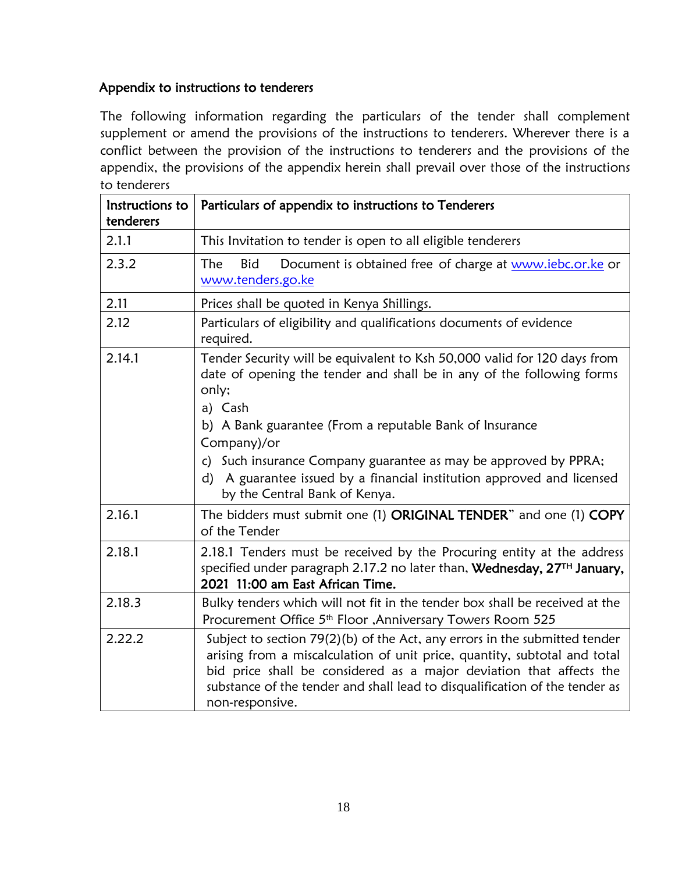## Appendix to instructions to tenderers

The following information regarding the particulars of the tender shall complement supplement or amend the provisions of the instructions to tenderers. Wherever there is a conflict between the provision of the instructions to tenderers and the provisions of the appendix, the provisions of the appendix herein shall prevail over those of the instructions to tenderers

| Instructions to<br>tenderers | Particulars of appendix to instructions to Tenderers                                                                                                                                                                                                                                                                                                                                                                             |  |  |  |  |  |
|------------------------------|----------------------------------------------------------------------------------------------------------------------------------------------------------------------------------------------------------------------------------------------------------------------------------------------------------------------------------------------------------------------------------------------------------------------------------|--|--|--|--|--|
| 2.1.1                        | This Invitation to tender is open to all eligible tenderers                                                                                                                                                                                                                                                                                                                                                                      |  |  |  |  |  |
| 2.3.2                        | Document is obtained free of charge at www.iebc.or.ke or<br>The<br>Bid<br>www.tenders.go.ke                                                                                                                                                                                                                                                                                                                                      |  |  |  |  |  |
| 2.11                         | Prices shall be quoted in Kenya Shillings.                                                                                                                                                                                                                                                                                                                                                                                       |  |  |  |  |  |
| 2.12                         | Particulars of eligibility and qualifications documents of evidence<br>required.                                                                                                                                                                                                                                                                                                                                                 |  |  |  |  |  |
| 2.14.1                       | Tender Security will be equivalent to Ksh 50,000 valid for 120 days from<br>date of opening the tender and shall be in any of the following forms<br>only;<br>a) Cash<br>b) A Bank guarantee (From a reputable Bank of Insurance<br>Company)/or<br>c) Such insurance Company guarantee as may be approved by PPRA;<br>A guarantee issued by a financial institution approved and licensed<br>d)<br>by the Central Bank of Kenya. |  |  |  |  |  |
| 2.16.1                       | The bidders must submit one (1) ORIGINAL TENDER" and one (1) COPY<br>of the Tender                                                                                                                                                                                                                                                                                                                                               |  |  |  |  |  |
| 2.18.1                       | 2.18.1 Tenders must be received by the Procuring entity at the address<br>specified under paragraph 2.17.2 no later than, Wednesday, 27TH January,<br>2021 11:00 am East African Time.                                                                                                                                                                                                                                           |  |  |  |  |  |
| 2.18.3                       | Bulky tenders which will not fit in the tender box shall be received at the<br>Procurement Office 5 <sup>th</sup> Floor , Anniversary Towers Room 525                                                                                                                                                                                                                                                                            |  |  |  |  |  |
| 2.22.2                       | Subject to section 79(2)(b) of the Act, any errors in the submitted tender<br>arising from a miscalculation of unit price, quantity, subtotal and total<br>bid price shall be considered as a major deviation that affects the<br>substance of the tender and shall lead to disqualification of the tender as<br>non-responsive.                                                                                                 |  |  |  |  |  |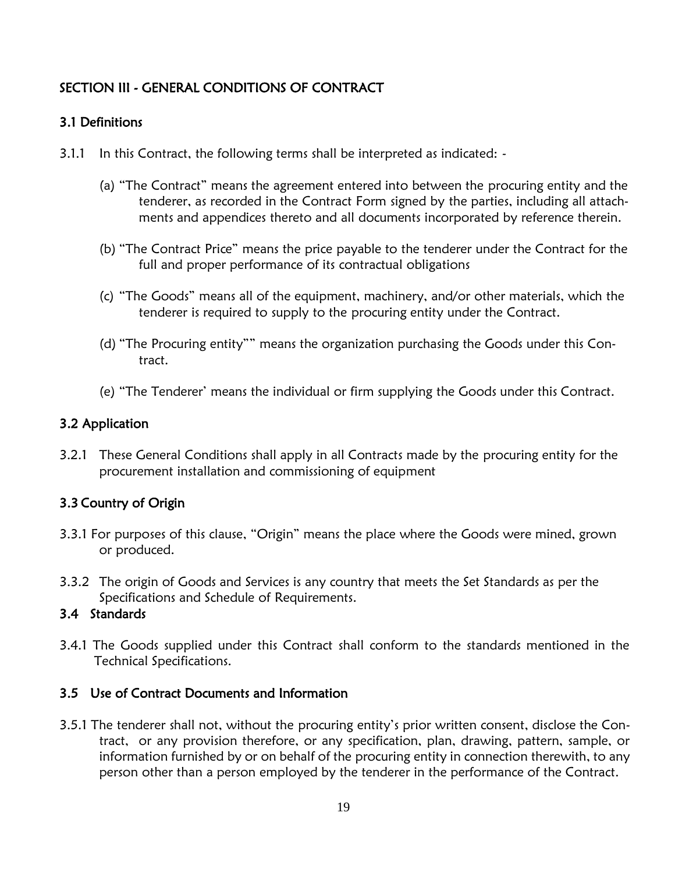# <span id="page-18-0"></span>SECTION III - GENERAL CONDITIONS OF CONTRACT

## <span id="page-18-1"></span>3.1 Definitions

- 3.1.1 In this Contract, the following terms shall be interpreted as indicated:
	- (a) "The Contract" means the agreement entered into between the procuring entity and the tenderer, as recorded in the Contract Form signed by the parties, including all attachments and appendices thereto and all documents incorporated by reference therein.
	- (b) "The Contract Price" means the price payable to the tenderer under the Contract for the full and proper performance of its contractual obligations
	- (c) "The Goods" means all of the equipment, machinery, and/or other materials, which the tenderer is required to supply to the procuring entity under the Contract.
	- (d) "The Procuring entity"" means the organization purchasing the Goods under this Contract.
	- (e) "The Tenderer' means the individual or firm supplying the Goods under this Contract.

### <span id="page-18-2"></span>3.2 Application

3.2.1 These General Conditions shall apply in all Contracts made by the procuring entity for the procurement installation and commissioning of equipment

## <span id="page-18-3"></span>3.3 Country of Origin

- 3.3.1 For purposes of this clause, "Origin" means the place where the Goods were mined, grown or produced.
- 3.3.2 The origin of Goods and Services is any country that meets the Set Standards as per the Specifications and Schedule of Requirements.

### <span id="page-18-4"></span>3.4 Standards

3.4.1 The Goods supplied under this Contract shall conform to the standards mentioned in the Technical Specifications.

#### <span id="page-18-5"></span>3.5 Use of Contract Documents and Information

3.5.1 The tenderer shall not, without the procuring entity's prior written consent, disclose the Contract, or any provision therefore, or any specification, plan, drawing, pattern, sample, or information furnished by or on behalf of the procuring entity in connection therewith, to any person other than a person employed by the tenderer in the performance of the Contract.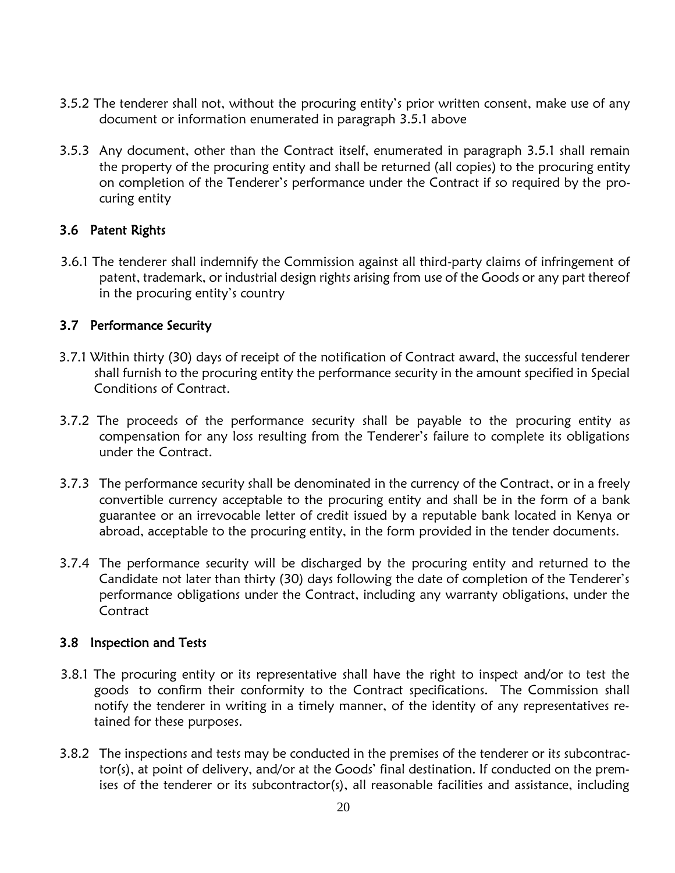- 3.5.2 The tenderer shall not, without the procuring entity's prior written consent, make use of any document or information enumerated in paragraph 3.5.1 above
- 3.5.3 Any document, other than the Contract itself, enumerated in paragraph 3.5.1 shall remain the property of the procuring entity and shall be returned (all copies) to the procuring entity on completion of the Tenderer's performance under the Contract if so required by the procuring entity

### <span id="page-19-0"></span>3.6 Patent Rights

3.6.1 The tenderer shall indemnify the Commission against all third-party claims of infringement of patent, trademark, or industrial design rights arising from use of the Goods or any part thereof in the procuring entity's country

#### <span id="page-19-1"></span>3.7 Performance Security

- 3.7.1 Within thirty (30) days of receipt of the notification of Contract award, the successful tenderer shall furnish to the procuring entity the performance security in the amount specified in Special Conditions of Contract.
- 3.7.2 The proceeds of the performance security shall be payable to the procuring entity as compensation for any loss resulting from the Tenderer's failure to complete its obligations under the Contract.
- 3.7.3 The performance security shall be denominated in the currency of the Contract, or in a freely convertible currency acceptable to the procuring entity and shall be in the form of a bank guarantee or an irrevocable letter of credit issued by a reputable bank located in Kenya or abroad, acceptable to the procuring entity, in the form provided in the tender documents.
- 3.7.4 The performance security will be discharged by the procuring entity and returned to the Candidate not later than thirty (30) days following the date of completion of the Tenderer's performance obligations under the Contract, including any warranty obligations, under the **Contract**

#### <span id="page-19-2"></span>3.8 Inspection and Tests

- 3.8.1 The procuring entity or its representative shall have the right to inspect and/or to test the goods to confirm their conformity to the Contract specifications. The Commission shall notify the tenderer in writing in a timely manner, of the identity of any representatives retained for these purposes.
- 3.8.2 The inspections and tests may be conducted in the premises of the tenderer or its subcontractor(s), at point of delivery, and/or at the Goods' final destination. If conducted on the premises of the tenderer or its subcontractor(s), all reasonable facilities and assistance, including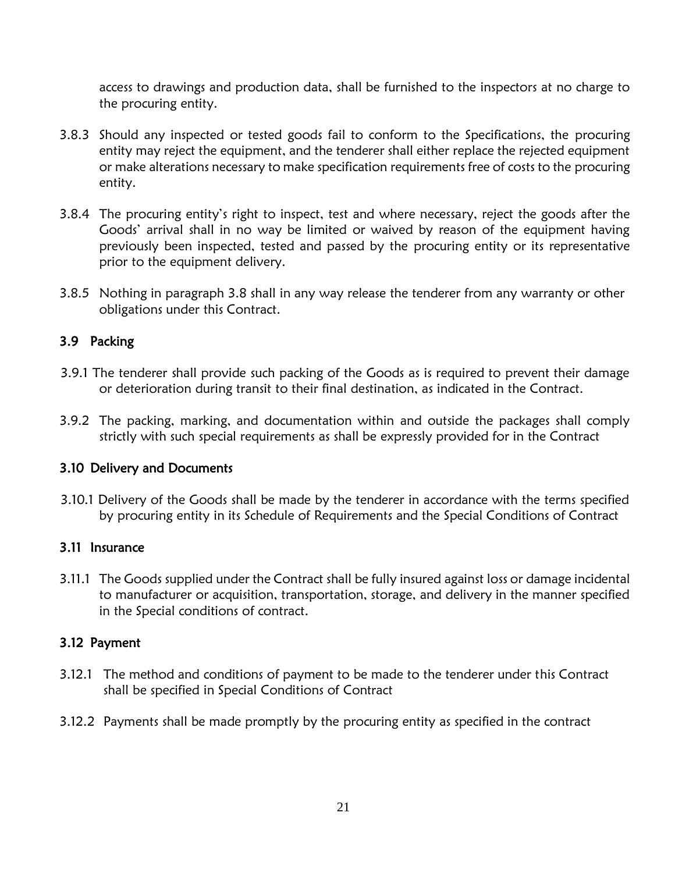access to drawings and production data, shall be furnished to the inspectors at no charge to the procuring entity.

- 3.8.3 Should any inspected or tested goods fail to conform to the Specifications, the procuring entity may reject the equipment, and the tenderer shall either replace the rejected equipment or make alterations necessary to make specification requirements free of costs to the procuring entity.
- 3.8.4 The procuring entity's right to inspect, test and where necessary, reject the goods after the Goods' arrival shall in no way be limited or waived by reason of the equipment having previously been inspected, tested and passed by the procuring entity or its representative prior to the equipment delivery.
- 3.8.5 Nothing in paragraph 3.8 shall in any way release the tenderer from any warranty or other obligations under this Contract.

## <span id="page-20-0"></span>3.9 Packing

- 3.9.1 The tenderer shall provide such packing of the Goods as is required to prevent their damage or deterioration during transit to their final destination, as indicated in the Contract.
- 3.9.2 The packing, marking, and documentation within and outside the packages shall comply strictly with such special requirements as shall be expressly provided for in the Contract

## <span id="page-20-1"></span>3.10 Delivery and Documents

3.10.1 Delivery of the Goods shall be made by the tenderer in accordance with the terms specified by procuring entity in its Schedule of Requirements and the Special Conditions of Contract

## <span id="page-20-2"></span>3.11 Insurance

3.11.1 The Goods supplied under the Contract shall be fully insured against loss or damage incidental to manufacturer or acquisition, transportation, storage, and delivery in the manner specified in the Special conditions of contract.

## <span id="page-20-3"></span>3.12 Payment

- 3.12.1 The method and conditions of payment to be made to the tenderer under this Contract shall be specified in Special Conditions of Contract
- 3.12.2 Payments shall be made promptly by the procuring entity as specified in the contract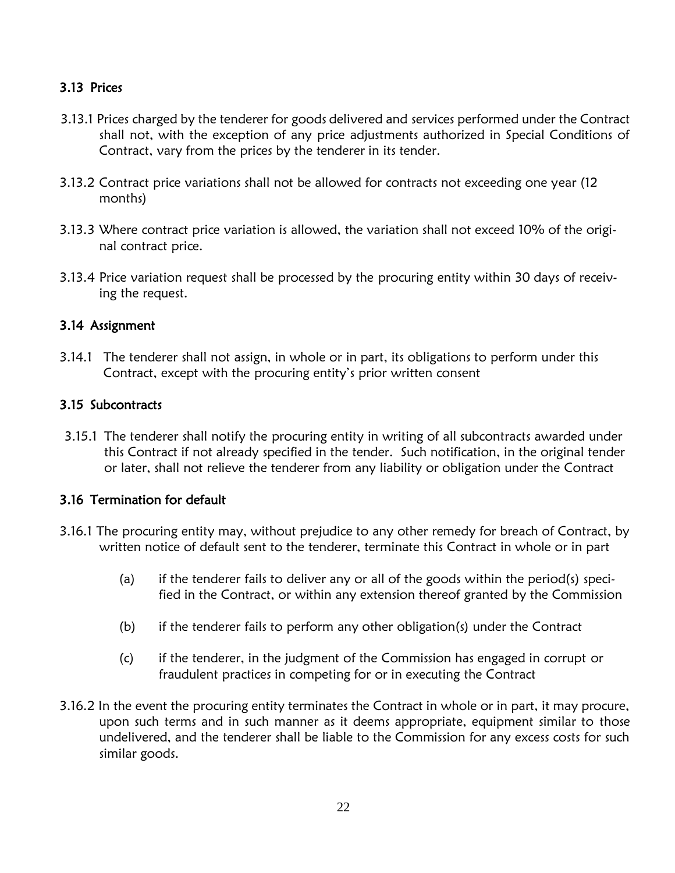## <span id="page-21-0"></span>3.13 Prices

- 3.13.1 Prices charged by the tenderer for goods delivered and services performed under the Contract shall not, with the exception of any price adjustments authorized in Special Conditions of Contract, vary from the prices by the tenderer in its tender.
- 3.13.2 Contract price variations shall not be allowed for contracts not exceeding one year (12 months)
- 3.13.3 Where contract price variation is allowed, the variation shall not exceed 10% of the original contract price.
- 3.13.4 Price variation request shall be processed by the procuring entity within 30 days of receiving the request.

### <span id="page-21-1"></span>3.14 Assignment

3.14.1 The tenderer shall not assign, in whole or in part, its obligations to perform under this Contract, except with the procuring entity's prior written consent

### <span id="page-21-2"></span>3.15 Subcontracts

3.15.1 The tenderer shall notify the procuring entity in writing of all subcontracts awarded under this Contract if not already specified in the tender. Such notification, in the original tender or later, shall not relieve the tenderer from any liability or obligation under the Contract

## <span id="page-21-3"></span>3.16 Termination for default

- 3.16.1 The procuring entity may, without prejudice to any other remedy for breach of Contract, by written notice of default sent to the tenderer, terminate this Contract in whole or in part
	- (a) if the tenderer fails to deliver any or all of the goods within the period(s) specified in the Contract, or within any extension thereof granted by the Commission
	- (b) if the tenderer fails to perform any other obligation(s) under the Contract
	- (c) if the tenderer, in the judgment of the Commission has engaged in corrupt or fraudulent practices in competing for or in executing the Contract
- 3.16.2 In the event the procuring entity terminates the Contract in whole or in part, it may procure, upon such terms and in such manner as it deems appropriate, equipment similar to those undelivered, and the tenderer shall be liable to the Commission for any excess costs for such similar goods.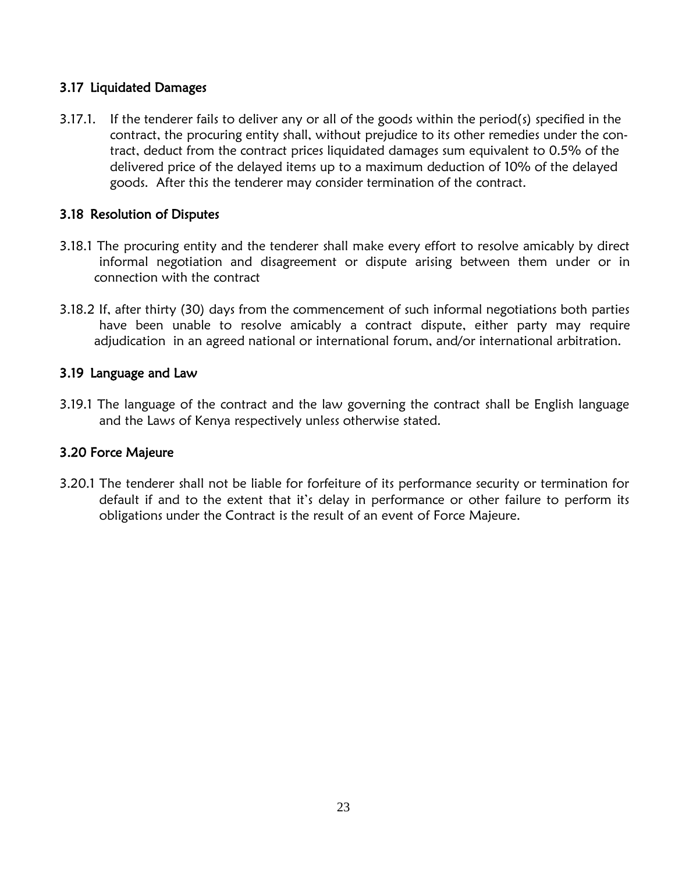### <span id="page-22-0"></span>3.17 Liquidated Damages

3.17.1. If the tenderer fails to deliver any or all of the goods within the period(s) specified in the contract, the procuring entity shall, without prejudice to its other remedies under the contract, deduct from the contract prices liquidated damages sum equivalent to 0.5% of the delivered price of the delayed items up to a maximum deduction of 10% of the delayed goods. After this the tenderer may consider termination of the contract.

## <span id="page-22-1"></span>3.18 Resolution of Disputes

- 3.18.1 The procuring entity and the tenderer shall make every effort to resolve amicably by direct informal negotiation and disagreement or dispute arising between them under or in connection with the contract
- 3.18.2 If, after thirty (30) days from the commencement of such informal negotiations both parties have been unable to resolve amicably a contract dispute, either party may require adjudication in an agreed national or international forum, and/or international arbitration.

## <span id="page-22-2"></span>3.19 Language and Law

3.19.1 The language of the contract and the law governing the contract shall be English language and the Laws of Kenya respectively unless otherwise stated.

## <span id="page-22-3"></span>3.20 Force Majeure

3.20.1 The tenderer shall not be liable for forfeiture of its performance security or termination for default if and to the extent that it's delay in performance or other failure to perform its obligations under the Contract is the result of an event of Force Majeure.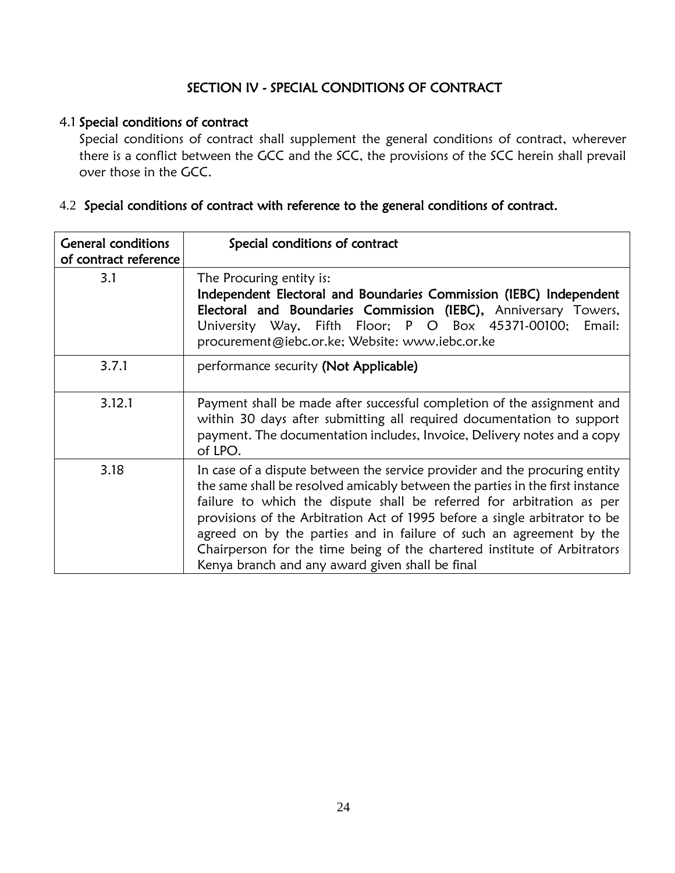# SECTION IV - SPECIAL CONDITIONS OF CONTRACT

#### <span id="page-23-1"></span><span id="page-23-0"></span>4.1 Special conditions of contract

Special conditions of contract shall supplement the general conditions of contract, wherever there is a conflict between the GCC and the SCC, the provisions of the SCC herein shall prevail over those in the GCC.

# <span id="page-23-2"></span>4.2 Special conditions of contract with reference to the general conditions of contract.

| <b>General conditions</b><br>of contract reference | Special conditions of contract                                                                                                                                                                                                                                                                                                                                                                                                                                                                                           |
|----------------------------------------------------|--------------------------------------------------------------------------------------------------------------------------------------------------------------------------------------------------------------------------------------------------------------------------------------------------------------------------------------------------------------------------------------------------------------------------------------------------------------------------------------------------------------------------|
| 3.1                                                | The Procuring entity is:<br>Independent Electoral and Boundaries Commission (IEBC) Independent<br>Electoral and Boundaries Commission (IEBC), Anniversary Towers,<br>University Way, Fifth Floor; P O Box 45371-00100;<br>Email:<br>procurement@iebc.or.ke; Website: www.iebc.or.ke                                                                                                                                                                                                                                      |
| 3.7.1                                              | performance security (Not Applicable)                                                                                                                                                                                                                                                                                                                                                                                                                                                                                    |
| 3.12.1                                             | Payment shall be made after successful completion of the assignment and<br>within 30 days after submitting all required documentation to support<br>payment. The documentation includes, Invoice, Delivery notes and a copy<br>of LPO.                                                                                                                                                                                                                                                                                   |
| 3.18                                               | In case of a dispute between the service provider and the procuring entity<br>the same shall be resolved amicably between the parties in the first instance<br>failure to which the dispute shall be referred for arbitration as per<br>provisions of the Arbitration Act of 1995 before a single arbitrator to be<br>agreed on by the parties and in failure of such an agreement by the<br>Chairperson for the time being of the chartered institute of Arbitrators<br>Kenya branch and any award given shall be final |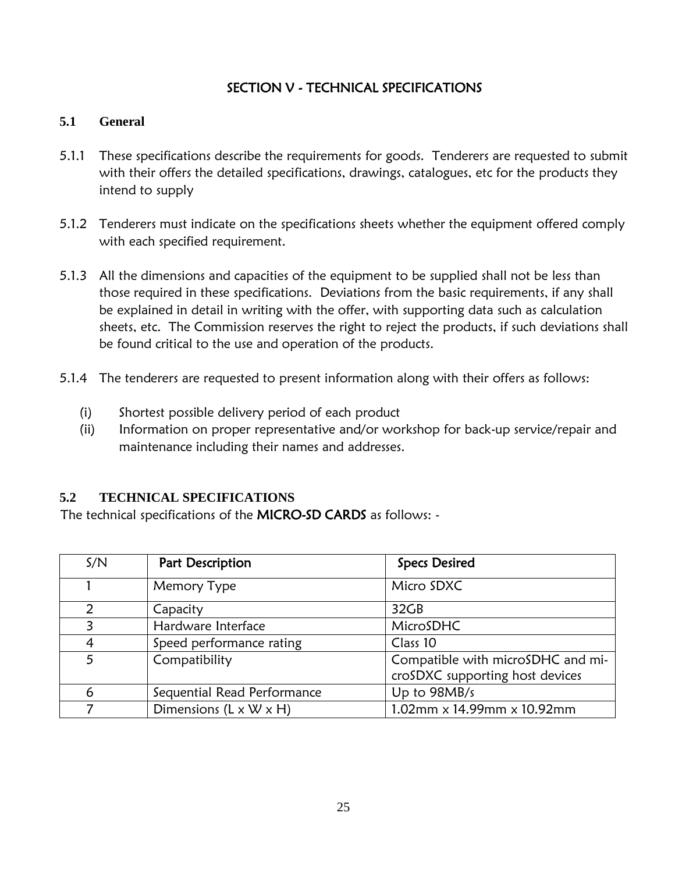# SECTION V - TECHNICAL SPECIFICATIONS

#### <span id="page-24-1"></span><span id="page-24-0"></span>**5.1 General**

- 5.1.1 These specifications describe the requirements for goods. Tenderers are requested to submit with their offers the detailed specifications, drawings, catalogues, etc for the products they intend to supply
- 5.1.2 Tenderers must indicate on the specifications sheets whether the equipment offered comply with each specified requirement.
- 5.1.3 All the dimensions and capacities of the equipment to be supplied shall not be less than those required in these specifications. Deviations from the basic requirements, if any shall be explained in detail in writing with the offer, with supporting data such as calculation sheets, etc. The Commission reserves the right to reject the products, if such deviations shall be found critical to the use and operation of the products.
- 5.1.4 The tenderers are requested to present information along with their offers as follows:
	- (i) Shortest possible delivery period of each product
	- (ii) Information on proper representative and/or workshop for back-up service/repair and maintenance including their names and addresses.

#### <span id="page-24-2"></span>**5.2 TECHNICAL SPECIFICATIONS**

The technical specifications of the MICRO-SD CARDS as follows: -

| S/N | Part Description                   | <b>Specs Desired</b>                                                 |
|-----|------------------------------------|----------------------------------------------------------------------|
|     | Memory Type                        | Micro SDXC                                                           |
| 2   | Capacity                           | 32GB                                                                 |
| 3   | Hardware Interface                 | MicroSDHC                                                            |
| 4   | Speed performance rating           | Class 10                                                             |
| 5   | Compatibility                      | Compatible with microSDHC and mi-<br>croSDXC supporting host devices |
| 6   | Sequential Read Performance        | Up to 98MB/s                                                         |
|     | Dimensions $(L \times W \times H)$ | $1.02$ mm x 14.99mm x 10.92mm                                        |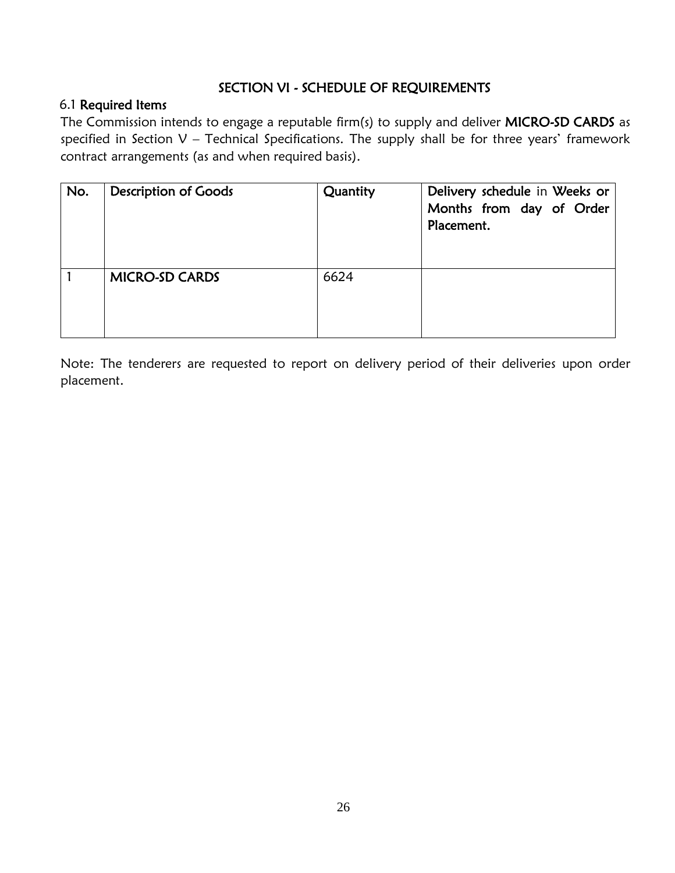## SECTION VI - SCHEDULE OF REQUIREMENTS

## <span id="page-25-0"></span>6.1 Required Items

The Commission intends to engage a reputable firm(s) to supply and deliver MICRO-SD CARDS as specified in Section V – Technical Specifications. The supply shall be for three years' framework contract arrangements (as and when required basis).

| No. | <b>Description of Goods</b> | Quantity | Delivery schedule in Weeks or<br>Months from day of Order<br>Placement. |
|-----|-----------------------------|----------|-------------------------------------------------------------------------|
|     | <b>MICRO-SD CARDS</b>       | 6624     |                                                                         |

Note: The tenderers are requested to report on delivery period of their deliveries upon order placement.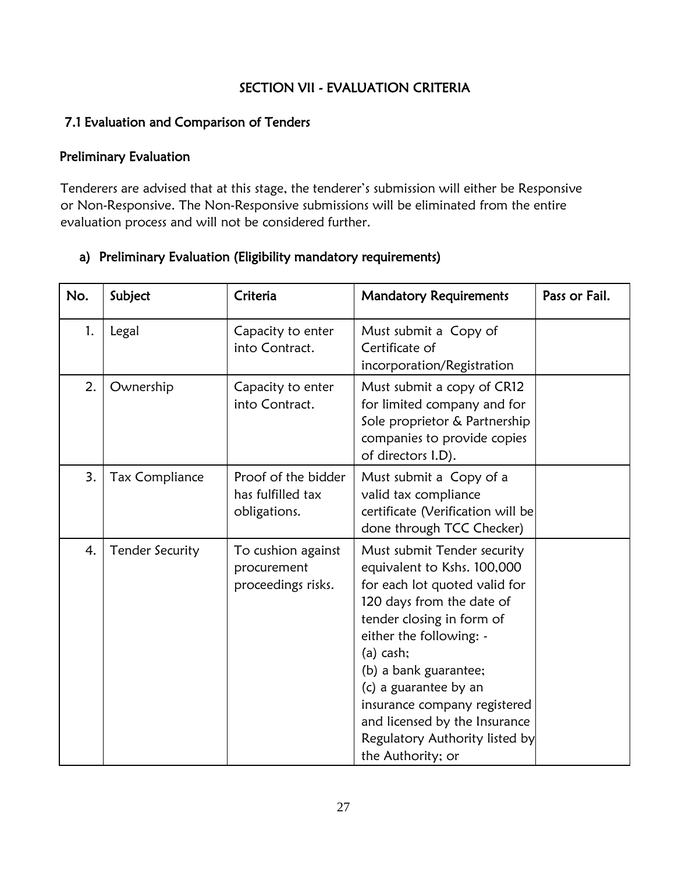## SECTION VII - EVALUATION CRITERIA

## <span id="page-26-1"></span><span id="page-26-0"></span>7.1 Evaluation and Comparison of Tenders

## <span id="page-26-2"></span>Preliminary Evaluation

Tenderers are advised that at this stage, the tenderer's submission will either be Responsive or Non-Responsive. The Non-Responsive submissions will be eliminated from the entire evaluation process and will not be considered further.

## a) Preliminary Evaluation (Eligibility mandatory requirements)

| No. | Subject                | Criteria                                                 | <b>Mandatory Requirements</b>                                                                                                                                                                                                                                                                                                                                             | Pass or Fail. |
|-----|------------------------|----------------------------------------------------------|---------------------------------------------------------------------------------------------------------------------------------------------------------------------------------------------------------------------------------------------------------------------------------------------------------------------------------------------------------------------------|---------------|
| 1.  | Legal                  | Capacity to enter<br>into Contract.                      | Must submit a Copy of<br>Certificate of<br>incorporation/Registration                                                                                                                                                                                                                                                                                                     |               |
| 2.  | Ownership              | Capacity to enter<br>into Contract.                      | Must submit a copy of CR12<br>for limited company and for<br>Sole proprietor & Partnership<br>companies to provide copies<br>of directors I.D).                                                                                                                                                                                                                           |               |
| 3.  | <b>Tax Compliance</b>  | Proof of the bidder<br>has fulfilled tax<br>obligations. | Must submit a Copy of a<br>valid tax compliance<br>certificate (Verification will be<br>done through TCC Checker)                                                                                                                                                                                                                                                         |               |
| 4.  | <b>Tender Security</b> | To cushion against<br>procurement<br>proceedings risks.  | Must submit Tender security<br>equivalent to Kshs. 100,000<br>for each lot quoted valid for<br>120 days from the date of<br>tender closing in form of<br>either the following: -<br>$(a)$ cash;<br>(b) a bank guarantee;<br>(c) a guarantee by an<br>insurance company registered<br>and licensed by the Insurance<br>Regulatory Authority listed by<br>the Authority; or |               |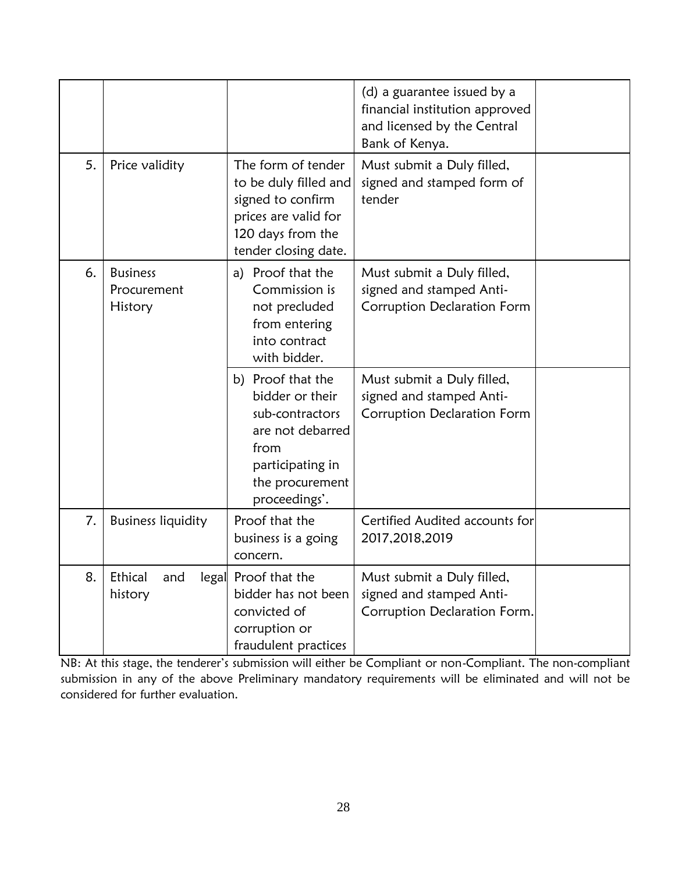|    |                                           |                                                                                                                                             | (d) a guarantee issued by a<br>financial institution approved<br>and licensed by the Central<br>Bank of Kenya. |  |
|----|-------------------------------------------|---------------------------------------------------------------------------------------------------------------------------------------------|----------------------------------------------------------------------------------------------------------------|--|
| 5. | Price validity                            | The form of tender<br>to be duly filled and<br>signed to confirm<br>prices are valid for<br>120 days from the<br>tender closing date.       | Must submit a Duly filled,<br>signed and stamped form of<br>tender                                             |  |
| 6. | <b>Business</b><br>Procurement<br>History | a) Proof that the<br>Commission is<br>not precluded<br>from entering<br>into contract<br>with bidder.                                       | Must submit a Duly filled,<br>signed and stamped Anti-<br>Corruption Declaration Form                          |  |
|    |                                           | b) Proof that the<br>bidder or their<br>sub-contractors<br>are not debarred<br>from<br>participating in<br>the procurement<br>proceedings'. | Must submit a Duly filled,<br>signed and stamped Anti-<br>Corruption Declaration Form                          |  |
| 7. | <b>Business liquidity</b>                 | Proof that the<br>business is a going<br>concern.                                                                                           | Certified Audited accounts for<br>2017,2018,2019                                                               |  |
| 8. | Ethical<br>and<br>history                 | legal Proof that the<br>bidder has not been<br>convicted of<br>corruption or<br>fraudulent practices                                        | Must submit a Duly filled,<br>signed and stamped Anti-<br>Corruption Declaration Form.                         |  |

NB: At this stage, the tenderer's submission will either be Compliant or non-Compliant. The non-compliant submission in any of the above Preliminary mandatory requirements will be eliminated and will not be considered for further evaluation.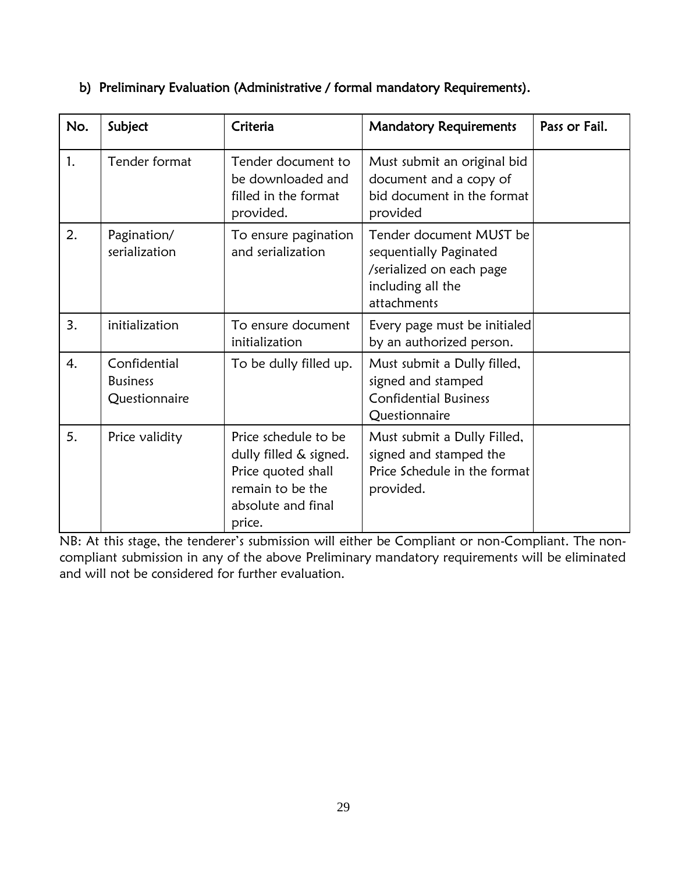| No. | Subject                                          | Criteria                                                                                                                 | <b>Mandatory Requirements</b>                                                                                     | Pass or Fail. |
|-----|--------------------------------------------------|--------------------------------------------------------------------------------------------------------------------------|-------------------------------------------------------------------------------------------------------------------|---------------|
| 1.  | Tender format                                    | Tender document to<br>be downloaded and<br>filled in the format<br>provided.                                             | Must submit an original bid<br>document and a copy of<br>bid document in the format<br>provided                   |               |
| 2.  | Pagination/<br>serialization                     | To ensure pagination<br>and serialization                                                                                | Tender document MUST be<br>sequentially Paginated<br>/serialized on each page<br>including all the<br>attachments |               |
| 3.  | initialization                                   | To ensure document<br>initialization                                                                                     | Every page must be initialed<br>by an authorized person.                                                          |               |
| 4.  | Confidential<br><b>Business</b><br>Questionnaire | To be dully filled up.                                                                                                   | Must submit a Dully filled,<br>signed and stamped<br><b>Confidential Business</b><br>Questionnaire                |               |
| 5.  | Price validity                                   | Price schedule to be<br>dully filled & signed.<br>Price quoted shall<br>remain to be the<br>absolute and final<br>price. | Must submit a Dully Filled,<br>signed and stamped the<br>Price Schedule in the format<br>provided.                |               |

# b) Preliminary Evaluation (Administrative / formal mandatory Requirements).

NB: At this stage, the tenderer's submission will either be Compliant or non-Compliant. The noncompliant submission in any of the above Preliminary mandatory requirements will be eliminated and will not be considered for further evaluation.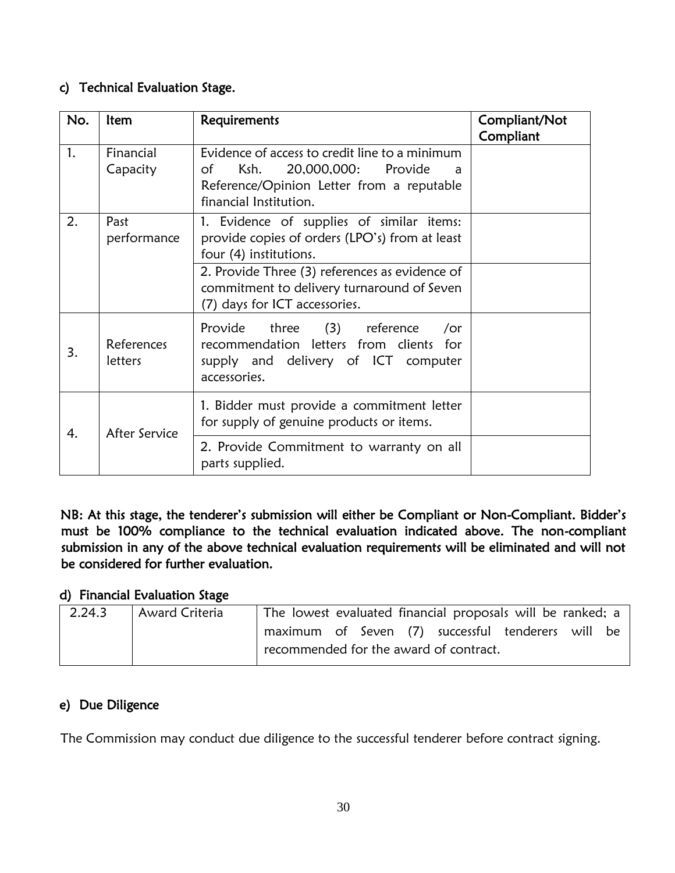## <span id="page-29-0"></span>c) Technical Evaluation Stage.

| No. | <b>Item</b>           | Requirements                                                                                                                                                    | Compliant/Not<br>Compliant |
|-----|-----------------------|-----------------------------------------------------------------------------------------------------------------------------------------------------------------|----------------------------|
| 1.  | Financial<br>Capacity | Evidence of access to credit line to a minimum<br>20,000,000: Provide<br>Ksh.<br>of<br>a<br>Reference/Opinion Letter from a reputable<br>financial Institution. |                            |
| 2.  | Past<br>performance   | 1. Evidence of supplies of similar items:<br>provide copies of orders (LPO's) from at least<br>four (4) institutions.                                           |                            |
|     |                       | 2. Provide Three (3) references as evidence of<br>commitment to delivery turnaround of Seven<br>(7) days for ICT accessories.                                   |                            |
| 3.  | References<br>letters | Provide three (3) reference<br>/or<br>recommendation letters from clients for<br>supply and delivery of ICT computer<br>accessories.                            |                            |
| 4.  | After Service         | 1. Bidder must provide a commitment letter<br>for supply of genuine products or items.                                                                          |                            |
|     |                       | 2. Provide Commitment to warranty on all<br>parts supplied.                                                                                                     |                            |

NB: At this stage, the tenderer's submission will either be Compliant or Non-Compliant. Bidder's must be 100% compliance to the technical evaluation indicated above. The non-compliant submission in any of the above technical evaluation requirements will be eliminated and will not be considered for further evaluation.

# d) Financial Evaluation Stage

| 2.24.3 | Award Criteria | The lowest evaluated financial proposals will be ranked; a |                                        |  |  |  |  |  |  |
|--------|----------------|------------------------------------------------------------|----------------------------------------|--|--|--|--|--|--|
|        |                | maximum of Seven (7) successful tenderers will be          |                                        |  |  |  |  |  |  |
|        |                |                                                            | recommended for the award of contract. |  |  |  |  |  |  |

# <span id="page-29-1"></span>e) Due Diligence

The Commission may conduct due diligence to the successful tenderer before contract signing.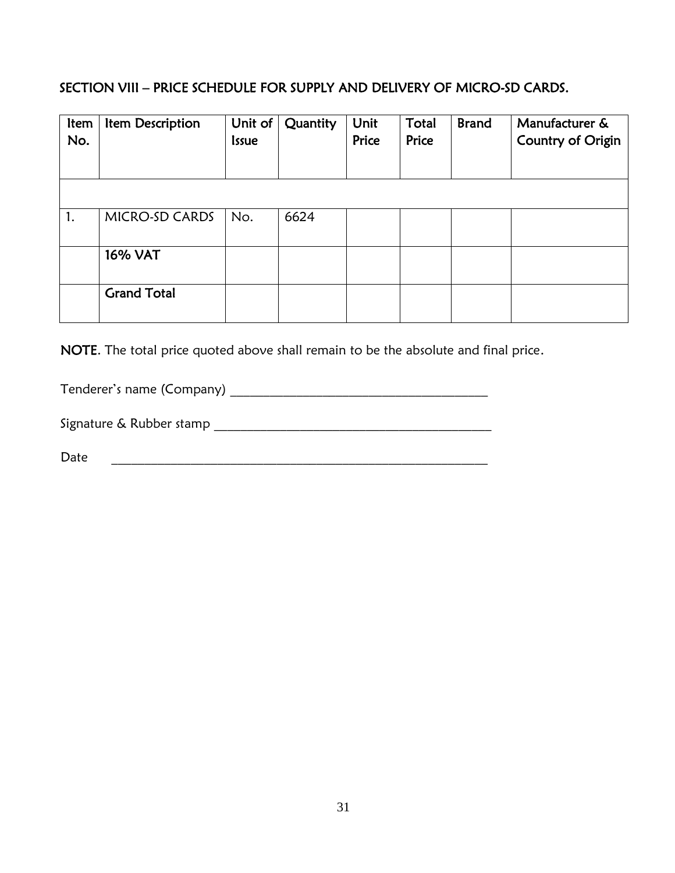# <span id="page-30-0"></span>SECTION VIII – PRICE SCHEDULE FOR SUPPLY AND DELIVERY OF MICRO-SD CARDS.

| Item<br>No. | Item Description   | Unit of<br><b>Issue</b> | Quantity | Unit<br>Price | Total<br>Price | <b>Brand</b> | Manufacturer &<br><b>Country of Origin</b> |
|-------------|--------------------|-------------------------|----------|---------------|----------------|--------------|--------------------------------------------|
|             |                    |                         |          |               |                |              |                                            |
| 1.          | MICRO-SD CARDS     | No.                     | 6624     |               |                |              |                                            |
|             | <b>16% VAT</b>     |                         |          |               |                |              |                                            |
|             | <b>Grand Total</b> |                         |          |               |                |              |                                            |

NOTE. The total price quoted above shall remain to be the absolute and final price.

Tenderer's name (Company) \_\_\_\_\_\_\_\_\_\_\_\_\_\_\_\_\_\_\_\_\_\_\_\_\_\_\_\_\_\_\_\_\_\_\_\_\_\_\_

Signature & Rubber stamp \_\_\_\_\_\_\_\_\_\_\_\_\_\_\_\_\_\_\_\_\_\_\_\_\_\_\_\_\_\_\_\_\_\_\_\_\_\_\_\_\_\_

Date \_\_\_\_\_\_\_\_\_\_\_\_\_\_\_\_\_\_\_\_\_\_\_\_\_\_\_\_\_\_\_\_\_\_\_\_\_\_\_\_\_\_\_\_\_\_\_\_\_\_\_\_\_\_\_\_\_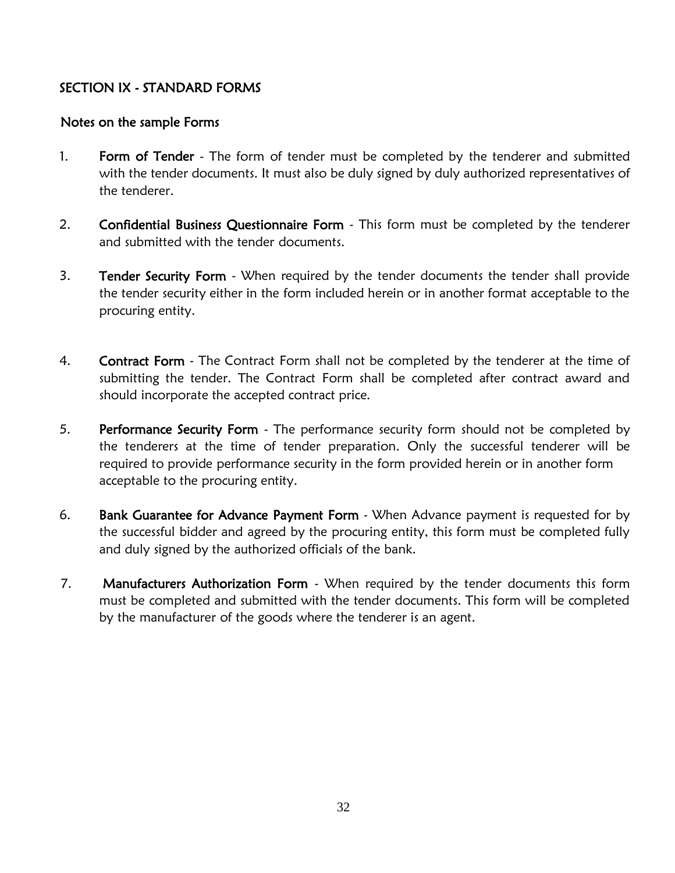## <span id="page-31-0"></span>SECTION IX - STANDARD FORMS

### Notes on the sample Forms

- 1. Form of Tender The form of tender must be completed by the tenderer and submitted with the tender documents. It must also be duly signed by duly authorized representatives of the tenderer.
- 2. Confidential Business Questionnaire Form This form must be completed by the tenderer and submitted with the tender documents.
- 3. Tender Security Form When required by the tender documents the tender shall provide the tender security either in the form included herein or in another format acceptable to the procuring entity.
- 4. Contract Form The Contract Form shall not be completed by the tenderer at the time of submitting the tender. The Contract Form shall be completed after contract award and should incorporate the accepted contract price.
- 5. Performance Security Form The performance security form should not be completed by the tenderers at the time of tender preparation. Only the successful tenderer will be required to provide performance security in the form provided herein or in another form acceptable to the procuring entity.
- 6. Bank Guarantee for Advance Payment Form When Advance payment is requested for by the successful bidder and agreed by the procuring entity, this form must be completed fully and duly signed by the authorized officials of the bank.
- 7. Manufacturers Authorization Form When required by the tender documents this form must be completed and submitted with the tender documents. This form will be completed by the manufacturer of the goods where the tenderer is an agent.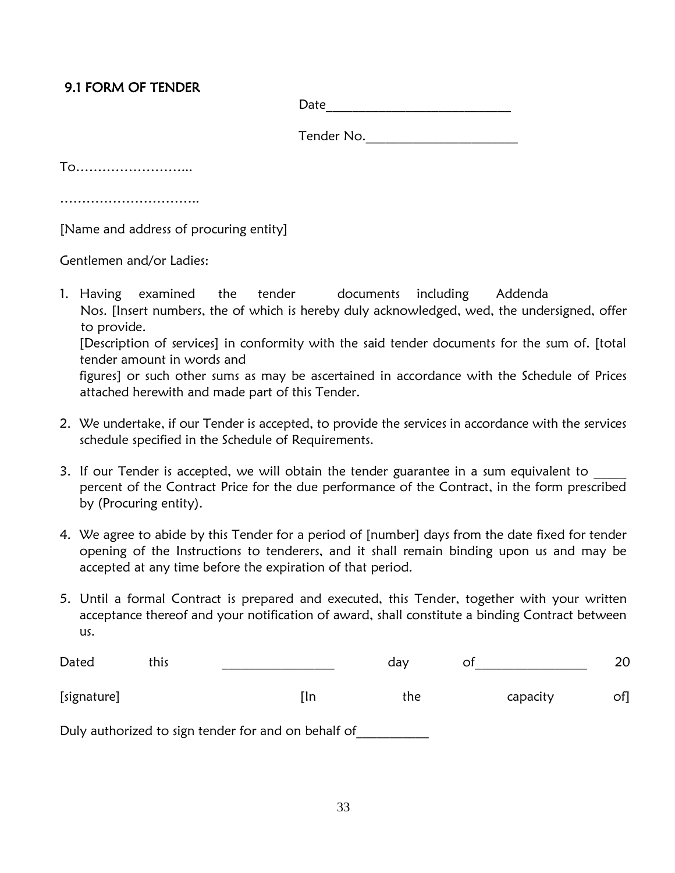# <span id="page-32-0"></span>9.1 FORM OF TENDER

 ${\sf Date}$ 

Tender No.\_\_\_\_\_\_\_\_\_\_\_\_\_\_\_\_\_\_\_\_\_\_\_

To……………………...

………………………………

[Name and address of procuring entity]

Gentlemen and/or Ladies:

1. Having examined the tender documents including Addenda Nos. [Insert numbers, the of which is hereby duly acknowledged, wed, the undersigned, offer to provide. [Description of services] in conformity with the said tender documents for the sum of. [total

tender amount in words and figures] or such other sums as may be ascertained in accordance with the Schedule of Prices attached herewith and made part of this Tender.

- 2. We undertake, if our Tender is accepted, to provide the services in accordance with the services schedule specified in the Schedule of Requirements.
- 3. If our Tender is accepted, we will obtain the tender guarantee in a sum equivalent to percent of the Contract Price for the due performance of the Contract, in the form prescribed by (Procuring entity).
- 4. We agree to abide by this Tender for a period of [number] days from the date fixed for tender opening of the Instructions to tenderers, and it shall remain binding upon us and may be accepted at any time before the expiration of that period.
- 5. Until a formal Contract is prepared and executed, this Tender, together with your written acceptance thereof and your notification of award, shall constitute a binding Contract between us.

| Dated       | this |                                                     | dav | Οt       |     |
|-------------|------|-----------------------------------------------------|-----|----------|-----|
| [signature] |      | ſln                                                 | the | capacity | of] |
|             |      | Duly authorized to sign tender for and on behalf of |     |          |     |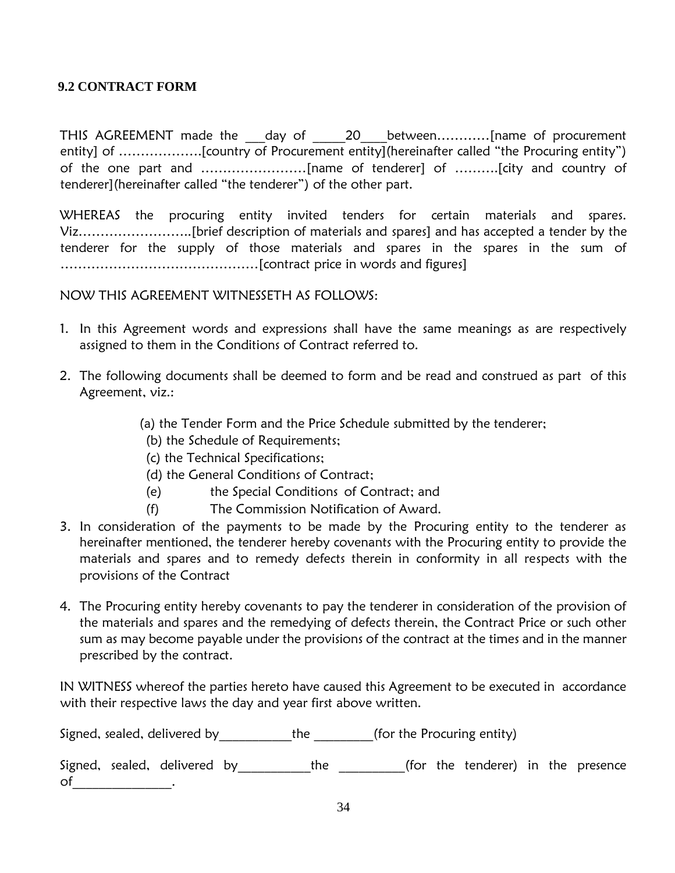#### <span id="page-33-0"></span>**9.2 CONTRACT FORM**

THIS AGREEMENT made the \_\_\_day of \_\_\_\_\_20\_\_\_\_between…………[name of procurement entity] of ……………….[country of Procurement entity](hereinafter called "the Procuring entity") of the one part and ……………………[name of tenderer] of ……….[city and country of tenderer](hereinafter called "the tenderer") of the other part.

WHEREAS the procuring entity invited tenders for certain materials and spares. Viz……………………..[brief description of materials and spares] and has accepted a tender by the tenderer for the supply of those materials and spares in the spares in the sum of ………………………………………[contract price in words and figures]

### NOW THIS AGREEMENT WITNESSETH AS FOLLOWS:

- 1. In this Agreement words and expressions shall have the same meanings as are respectively assigned to them in the Conditions of Contract referred to.
- 2. The following documents shall be deemed to form and be read and construed as part of this Agreement, viz.:
	- (a) the Tender Form and the Price Schedule submitted by the tenderer;
	- (b) the Schedule of Requirements;
	- (c) the Technical Specifications;
	- (d) the General Conditions of Contract;
	- (e) the Special Conditions of Contract; and
	- (f) The Commission Notification of Award.
- 3. In consideration of the payments to be made by the Procuring entity to the tenderer as hereinafter mentioned, the tenderer hereby covenants with the Procuring entity to provide the materials and spares and to remedy defects therein in conformity in all respects with the provisions of the Contract
- 4. The Procuring entity hereby covenants to pay the tenderer in consideration of the provision of the materials and spares and the remedying of defects therein, the Contract Price or such other sum as may become payable under the provisions of the contract at the times and in the manner prescribed by the contract.

IN WITNESS whereof the parties hereto have caused this Agreement to be executed in accordance with their respective laws the day and year first above written.

Signed, sealed, delivered by \_\_\_\_\_\_\_\_\_\_\_the \_\_\_\_\_\_\_\_(for the Procuring entity)

Signed, sealed, delivered by\_\_\_\_\_\_\_\_\_\_\_the \_\_\_\_\_\_\_\_\_(for the tenderer) in the presence of \_\_\_\_\_\_\_\_\_\_\_\_\_.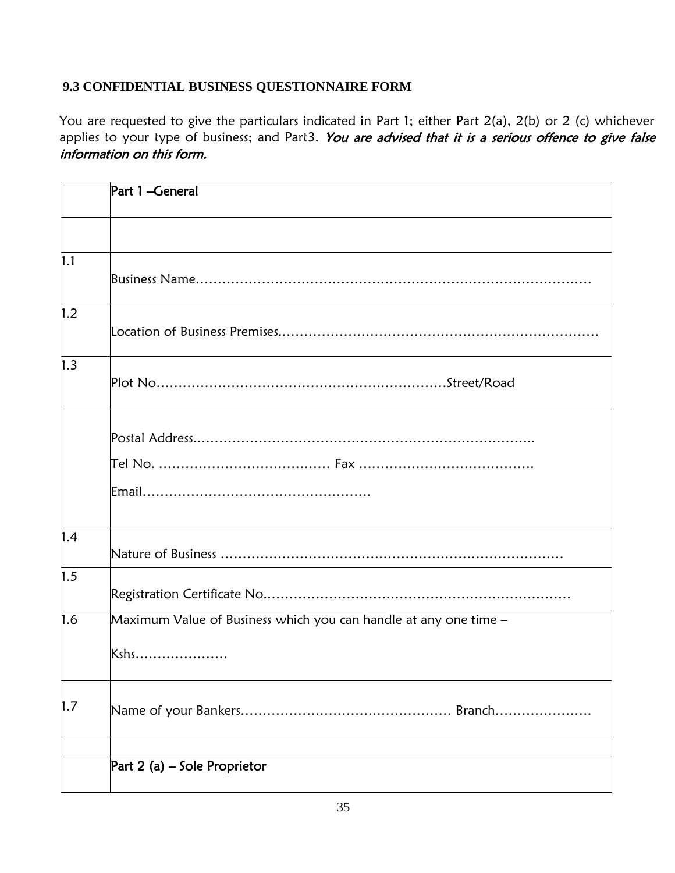## <span id="page-34-0"></span>**9.3 CONFIDENTIAL BUSINESS QUESTIONNAIRE FORM**

You are requested to give the particulars indicated in Part 1; either Part 2(a), 2(b) or 2 (c) whichever applies to your type of business; and Part3. You are advised that it is a serious offence to give false information on this form.

|     | Part 1-General                                                           |
|-----|--------------------------------------------------------------------------|
|     |                                                                          |
| 1.1 |                                                                          |
| 1.2 |                                                                          |
| 1.3 |                                                                          |
|     |                                                                          |
| 1.4 |                                                                          |
| 1.5 |                                                                          |
| 1.6 | Maximum Value of Business which you can handle at any one time –<br>Kshs |
| 1.7 |                                                                          |
|     | Part 2 (a) $-$ Sole Proprietor                                           |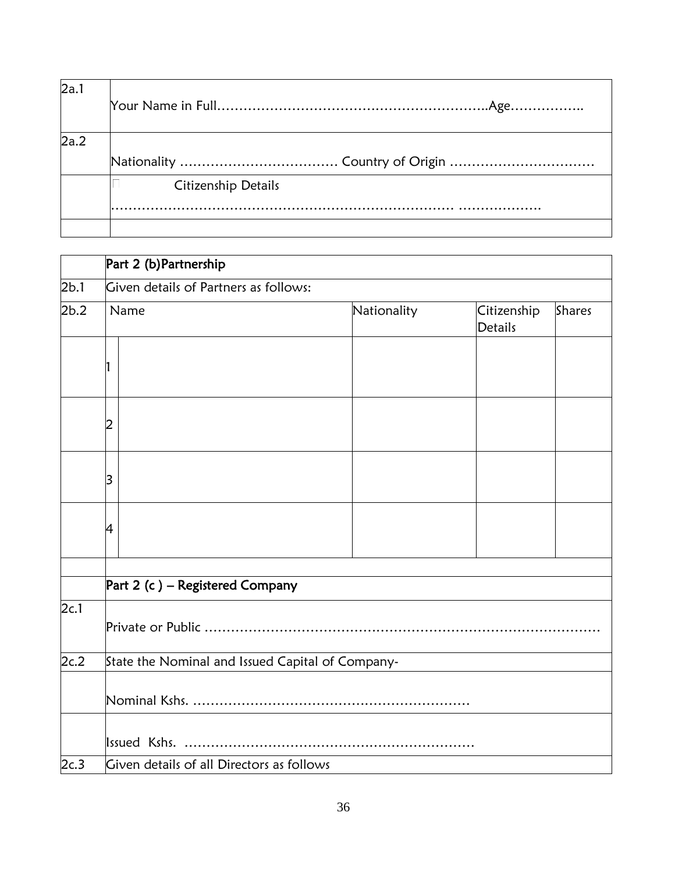| 2a.1 |                     |
|------|---------------------|
| 2a.2 |                     |
|      |                     |
|      | Citizenship Details |
|      |                     |
|      |                     |

|      | Part 2 (b) Partnership                           |             |                               |        |  |  |  |
|------|--------------------------------------------------|-------------|-------------------------------|--------|--|--|--|
| 2b.1 | Given details of Partners as follows:            |             |                               |        |  |  |  |
| 2b.2 | Name                                             | Nationality | Citizenship<br><b>Details</b> | Shares |  |  |  |
|      |                                                  |             |                               |        |  |  |  |
|      | 2                                                |             |                               |        |  |  |  |
|      | 3                                                |             |                               |        |  |  |  |
|      | 4                                                |             |                               |        |  |  |  |
|      |                                                  |             |                               |        |  |  |  |
|      | Part 2 (c) – Registered Company                  |             |                               |        |  |  |  |
| 2c.1 |                                                  |             |                               |        |  |  |  |
| 2c.2 | State the Nominal and Issued Capital of Company- |             |                               |        |  |  |  |
|      |                                                  |             |                               |        |  |  |  |
|      |                                                  |             |                               |        |  |  |  |
| 2c.3 | Given details of all Directors as follows        |             |                               |        |  |  |  |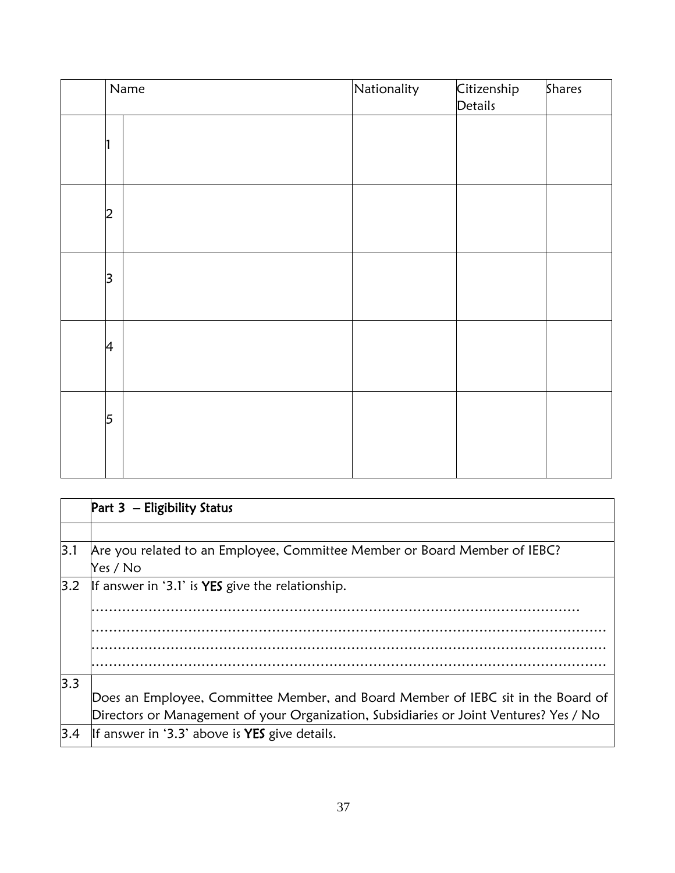| Name                    | Nationality | Citizenship<br>Details | <b>Shares</b> |
|-------------------------|-------------|------------------------|---------------|
|                         |             |                        |               |
| $\overline{2}$          |             |                        |               |
| $\overline{\mathsf{3}}$ |             |                        |               |
| $\overline{4}$          |             |                        |               |
| $\overline{5}$          |             |                        |               |

|     | Part $3$ – Eligibility Status                                                          |
|-----|----------------------------------------------------------------------------------------|
|     |                                                                                        |
| 3.1 | Are you related to an Employee, Committee Member or Board Member of IEBC?              |
|     | Yes / No                                                                               |
| 3.2 | If answer in '3.1' is <b>YES</b> give the relationship.                                |
|     |                                                                                        |
|     |                                                                                        |
|     |                                                                                        |
|     |                                                                                        |
| 3.3 |                                                                                        |
|     | Does an Employee, Committee Member, and Board Member of IEBC sit in the Board of       |
|     | Directors or Management of your Organization, Subsidiaries or Joint Ventures? Yes / No |
| 3.4 | If answer in '3.3' above is <b>YES</b> give details.                                   |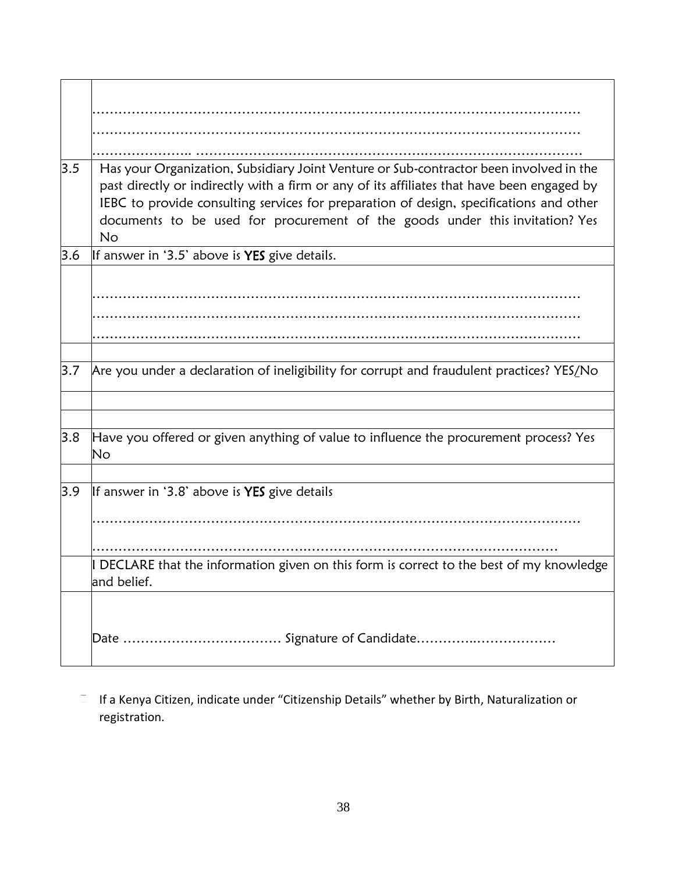| 3.5 | Has your Organization, Subsidiary Joint Venture or Sub-contractor been involved in the<br>past directly or indirectly with a firm or any of its affiliates that have been engaged by<br>IEBC to provide consulting services for preparation of design, specifications and other<br>documents to be used for procurement of the goods under this invitation? Yes<br><b>No</b> |
|-----|------------------------------------------------------------------------------------------------------------------------------------------------------------------------------------------------------------------------------------------------------------------------------------------------------------------------------------------------------------------------------|
| 3.6 | If answer in '3.5' above is YES give details.                                                                                                                                                                                                                                                                                                                                |
|     |                                                                                                                                                                                                                                                                                                                                                                              |
|     |                                                                                                                                                                                                                                                                                                                                                                              |
|     |                                                                                                                                                                                                                                                                                                                                                                              |
|     |                                                                                                                                                                                                                                                                                                                                                                              |
| 3.7 | Are you under a declaration of ineligibility for corrupt and fraudulent practices? YES/No                                                                                                                                                                                                                                                                                    |
|     |                                                                                                                                                                                                                                                                                                                                                                              |
| 3.8 | Have you offered or given anything of value to influence the procurement process? Yes<br>No                                                                                                                                                                                                                                                                                  |
|     |                                                                                                                                                                                                                                                                                                                                                                              |
| 3.9 | If answer in '3.8' above is YES give details                                                                                                                                                                                                                                                                                                                                 |
|     |                                                                                                                                                                                                                                                                                                                                                                              |
|     |                                                                                                                                                                                                                                                                                                                                                                              |
|     | I DECLARE that the information given on this form is correct to the best of my knowledge<br>and belief.                                                                                                                                                                                                                                                                      |
|     |                                                                                                                                                                                                                                                                                                                                                                              |
|     |                                                                                                                                                                                                                                                                                                                                                                              |

 $I =$  If a Kenya Citizen, indicate under "Citizenship Details" whether by Birth, Naturalization or registration.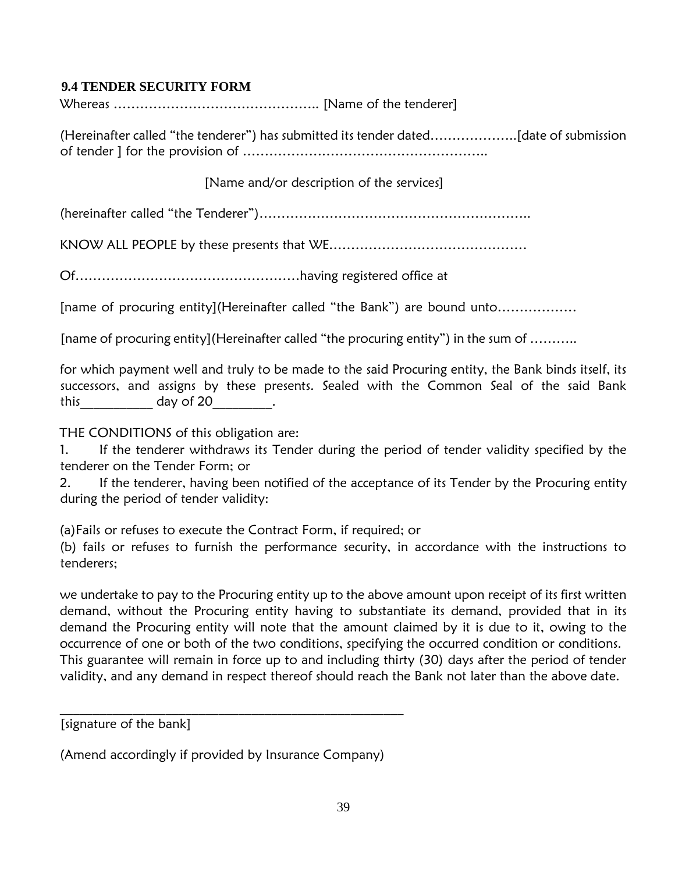#### <span id="page-38-0"></span> **9.4 TENDER SECURITY FORM**

Whereas ……………………………………….. [Name of the tenderer]

(Hereinafter called "the tenderer") has submitted its tender dated………………..[date of submission of tender ] for the provision of ………………………………………………..

[Name and/or description of the services]

(hereinafter called "the Tenderer")……………………………………………………..

KNOW ALL PEOPLE by these presents that WE………………………………………

Of……………………………………………having registered office at

[name of procuring entity](Hereinafter called "the Bank") are bound unto………………

[name of procuring entity](Hereinafter called "the procuring entity") in the sum of ………..

for which payment well and truly to be made to the said Procuring entity, the Bank binds itself, its successors, and assigns by these presents. Sealed with the Common Seal of the said Bank this day of 20 this

THE CONDITIONS of this obligation are:

1. If the tenderer withdraws its Tender during the period of tender validity specified by the tenderer on the Tender Form; or

2. If the tenderer, having been notified of the acceptance of its Tender by the Procuring entity during the period of tender validity:

(a)Fails or refuses to execute the Contract Form, if required; or

(b) fails or refuses to furnish the performance security, in accordance with the instructions to tenderers;

we undertake to pay to the Procuring entity up to the above amount upon receipt of its first written demand, without the Procuring entity having to substantiate its demand, provided that in its demand the Procuring entity will note that the amount claimed by it is due to it, owing to the occurrence of one or both of the two conditions, specifying the occurred condition or conditions. This guarantee will remain in force up to and including thirty (30) days after the period of tender validity, and any demand in respect thereof should reach the Bank not later than the above date.

[signature of the bank]

(Amend accordingly if provided by Insurance Company)

\_\_\_\_\_\_\_\_\_\_\_\_\_\_\_\_\_\_\_\_\_\_\_\_\_\_\_\_\_\_\_\_\_\_\_\_\_\_\_\_\_\_\_\_\_\_\_\_\_\_\_\_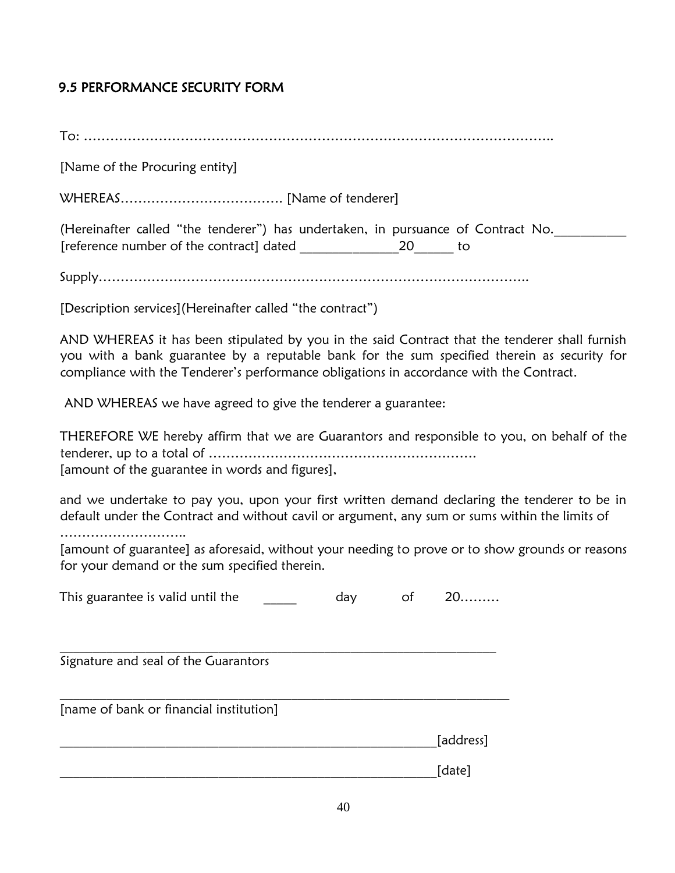# <span id="page-39-0"></span>9.5 PERFORMANCE SECURITY FORM

To: ……………………………………………………………………………………………..

[Name of the Procuring entity]

WHEREAS………………………………. [Name of tenderer]

(Hereinafter called "the tenderer") has undertaken, in pursuance of Contract No. [reference number of the contract] dated \_\_\_\_\_\_\_\_\_\_\_\_\_\_\_20\_\_\_\_\_\_ to

Supply……………………………………………………………………………………..

[Description services](Hereinafter called "the contract")

AND WHEREAS it has been stipulated by you in the said Contract that the tenderer shall furnish you with a bank guarantee by a reputable bank for the sum specified therein as security for compliance with the Tenderer's performance obligations in accordance with the Contract.

AND WHEREAS we have agreed to give the tenderer a guarantee:

THEREFORE WE hereby affirm that we are Guarantors and responsible to you, on behalf of the tenderer, up to a total of ……………………………………………………. [amount of the guarantee in words and figures],

and we undertake to pay you, upon your first written demand declaring the tenderer to be in default under the Contract and without cavil or argument, any sum or sums within the limits of

………………………..

[amount of guarantee] as aforesaid, without your needing to prove or to show grounds or reasons for your demand or the sum specified therein.

| This guarantee is valid until the | dav |  | $20$ |
|-----------------------------------|-----|--|------|
|-----------------------------------|-----|--|------|

 $\_$  , and the set of the set of the set of the set of the set of the set of the set of the set of the set of the set of the set of the set of the set of the set of the set of the set of the set of the set of the set of th

 $\_$  , and the set of the set of the set of the set of the set of the set of the set of the set of the set of the set of the set of the set of the set of the set of the set of the set of the set of the set of the set of th

Signature and seal of the Guarantors

[name of bank or financial institution]

[address]

 $\Box$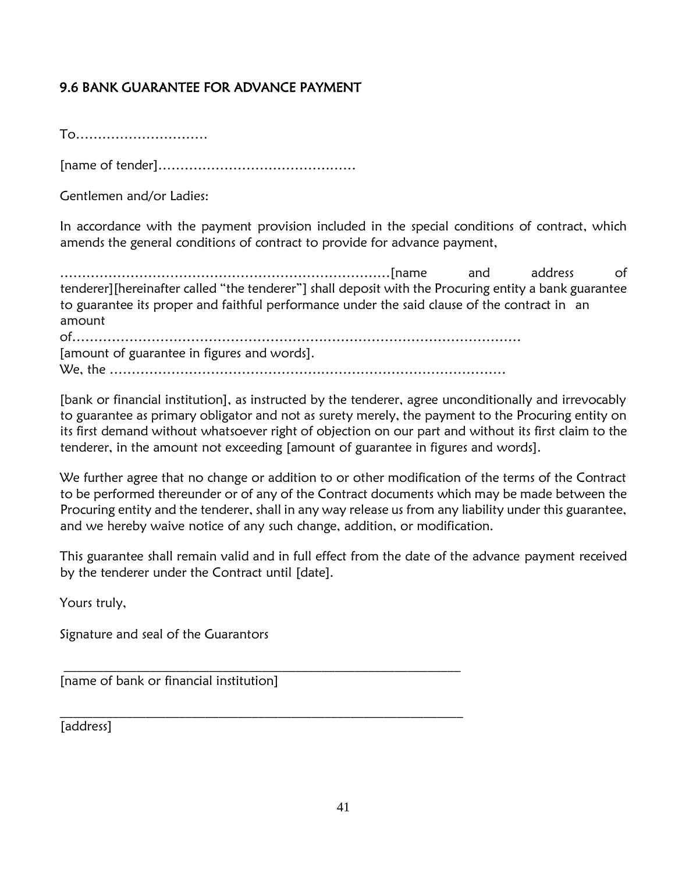# <span id="page-40-0"></span>9.6 BANK GUARANTEE FOR ADVANCE PAYMENT

To…………………………

[name of tender]………………………………………

Gentlemen and/or Ladies:

In accordance with the payment provision included in the special conditions of contract, which amends the general conditions of contract to provide for advance payment,

…………………………………………………………………[name and address of tenderer][hereinafter called "the tenderer"] shall deposit with the Procuring entity a bank guarantee to guarantee its proper and faithful performance under the said clause of the contract in an amount

of………………………………………………………………………………………… [amount of guarantee in figures and words]. We, the ………………………………………………………………………………

 $\mathcal{L}_\text{max}$  and  $\mathcal{L}_\text{max}$  and  $\mathcal{L}_\text{max}$  and  $\mathcal{L}_\text{max}$  and  $\mathcal{L}_\text{max}$ 

 $\_$  , and the set of the set of the set of the set of the set of the set of the set of the set of the set of the set of the set of the set of the set of the set of the set of the set of the set of the set of the set of th

[bank or financial institution], as instructed by the tenderer, agree unconditionally and irrevocably to guarantee as primary obligator and not as surety merely, the payment to the Procuring entity on its first demand without whatsoever right of objection on our part and without its first claim to the tenderer, in the amount not exceeding [amount of guarantee in figures and words].

We further agree that no change or addition to or other modification of the terms of the Contract to be performed thereunder or of any of the Contract documents which may be made between the Procuring entity and the tenderer, shall in any way release us from any liability under this guarantee, and we hereby waive notice of any such change, addition, or modification.

This guarantee shall remain valid and in full effect from the date of the advance payment received by the tenderer under the Contract until [date].

Yours truly,

Signature and seal of the Guarantors

[name of bank or financial institution]

[address]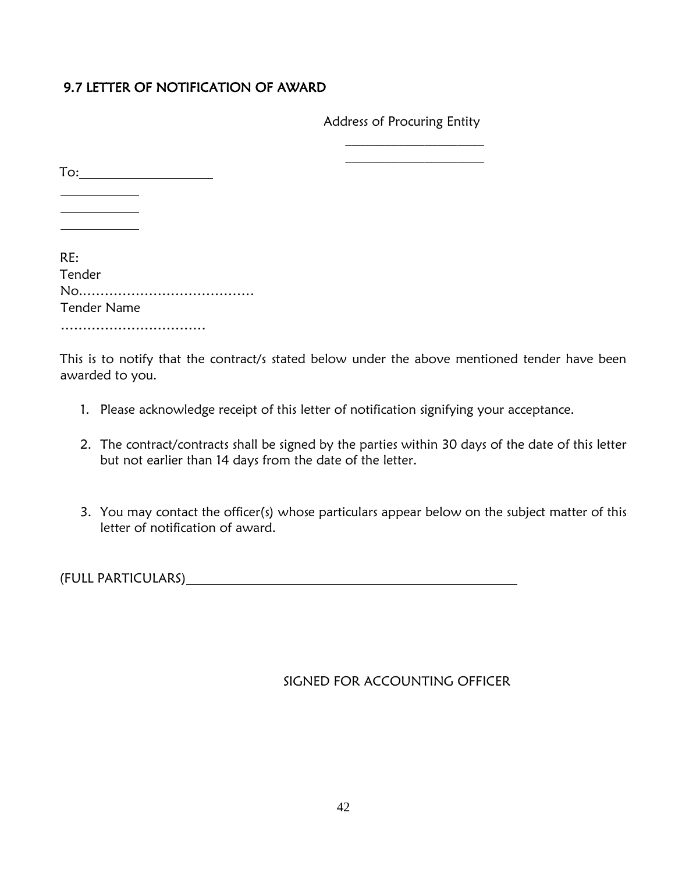## 9.7 LETTER OF NOTIFICATION OF AWARD

Address of Procuring Entity

 $\overline{\phantom{a}}$  , where  $\overline{\phantom{a}}$ 

| $\mathsf{To:}$                            |  |
|-------------------------------------------|--|
|                                           |  |
| RE:<br>Tender<br>No<br><b>Tender Name</b> |  |
|                                           |  |

This is to notify that the contract/s stated below under the above mentioned tender have been awarded to you.

- 1. Please acknowledge receipt of this letter of notification signifying your acceptance.
- 2. The contract/contracts shall be signed by the parties within 30 days of the date of this letter but not earlier than 14 days from the date of the letter.
- 3. You may contact the officer(s) whose particulars appear below on the subject matter of this letter of notification of award.

(FULL PARTICULARS)

SIGNED FOR ACCOUNTING OFFICER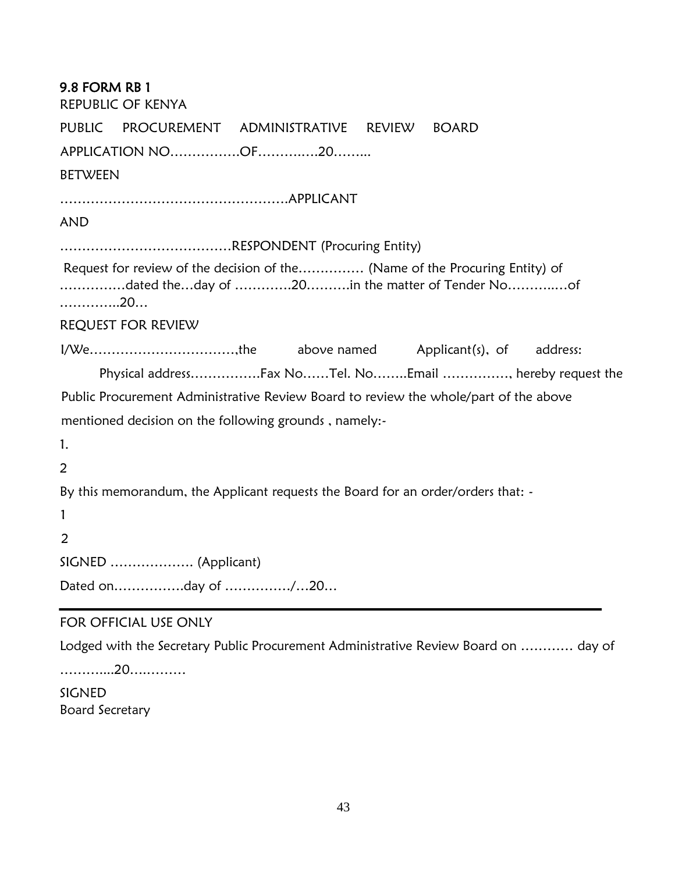<span id="page-42-0"></span>

| <b>9.8 FORM RB 1</b><br><b>REPUBLIC OF KENYA</b>                                                                                    |
|-------------------------------------------------------------------------------------------------------------------------------------|
| PUBLIC PROCUREMENT ADMINISTRATIVE REVIEW BOARD                                                                                      |
| APPLICATION NOOF20                                                                                                                  |
| <b>BETWEEN</b>                                                                                                                      |
|                                                                                                                                     |
| <b>AND</b>                                                                                                                          |
|                                                                                                                                     |
| Request for review of the decision of the (Name of the Procuring Entity) of<br>dated theday of 20in the matter of Tender Noof<br>20 |
| REQUEST FOR REVIEW                                                                                                                  |
| I/Wethe above named Applicant(s), of address:                                                                                       |
| Physical addressFax NoTel. NoEmail , hereby request the                                                                             |
| Public Procurement Administrative Review Board to review the whole/part of the above                                                |
| mentioned decision on the following grounds, namely:-                                                                               |
| 1.                                                                                                                                  |
| 2                                                                                                                                   |
| By this memorandum, the Applicant requests the Board for an order/orders that: -                                                    |
| $\mathbf{1}$                                                                                                                        |
| 2                                                                                                                                   |
| SIGNED  (Applicant)                                                                                                                 |
| FOR OFFICIAL LICE ONLIV                                                                                                             |

#### FOR OFFICIAL USE ONLY

Lodged with the Secretary Public Procurement Administrative Review Board on ………… day of

………....20….………

SIGNED Board Secretary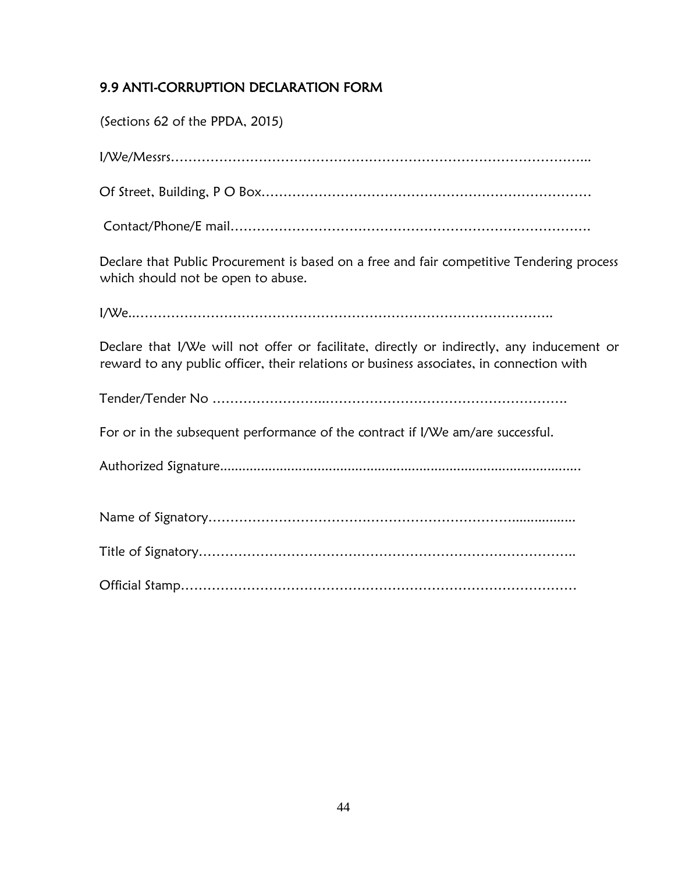# <span id="page-43-0"></span>9.9 ANTI-CORRUPTION DECLARATION FORM

| (Sections 62 of the PPDA, 2015)                                                                                                                                                       |
|---------------------------------------------------------------------------------------------------------------------------------------------------------------------------------------|
|                                                                                                                                                                                       |
|                                                                                                                                                                                       |
|                                                                                                                                                                                       |
| Declare that Public Procurement is based on a free and fair competitive Tendering process<br>which should not be open to abuse.                                                       |
|                                                                                                                                                                                       |
| Declare that I/We will not offer or facilitate, directly or indirectly, any inducement or<br>reward to any public officer, their relations or business associates, in connection with |
|                                                                                                                                                                                       |
| For or in the subsequent performance of the contract if I/We am/are successful.                                                                                                       |
|                                                                                                                                                                                       |
|                                                                                                                                                                                       |
|                                                                                                                                                                                       |
|                                                                                                                                                                                       |